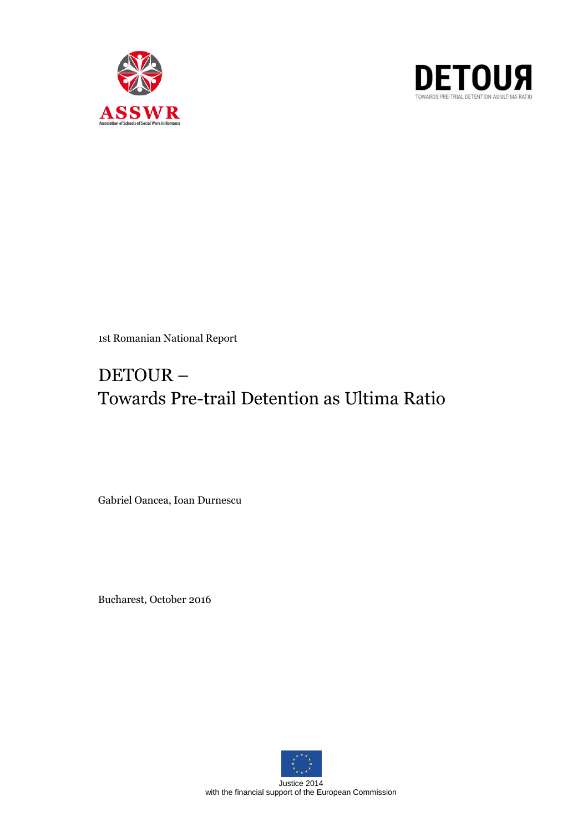



1st Romanian National Report

# DETOUR – Towards Pre-trail Detention as Ultima Ratio

Gabriel Oancea, Ioan Durnescu

Bucharest, October 2016



Justice 2014 with the financial support of the European Commission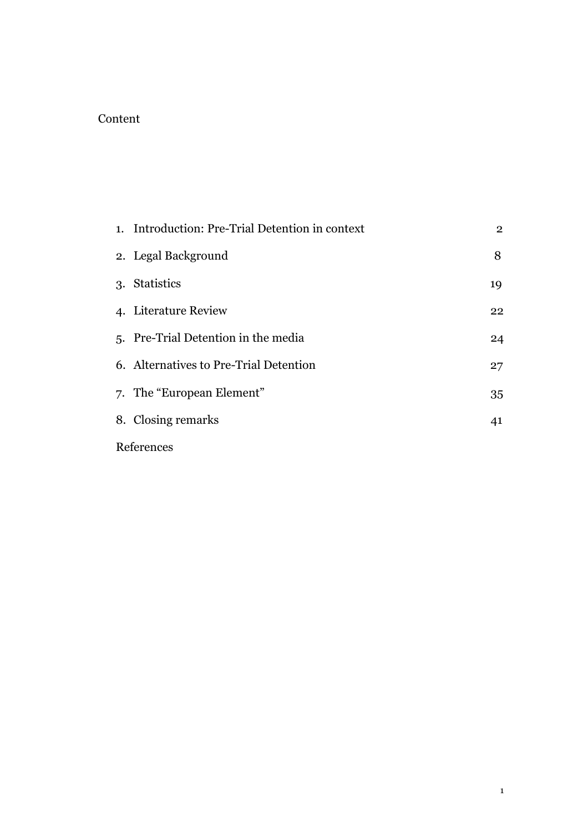## Content

|            | 1. Introduction: Pre-Trial Detention in context | $\overline{2}$ |
|------------|-------------------------------------------------|----------------|
|            | 2. Legal Background                             | 8              |
|            | 3. Statistics                                   | 19             |
|            | 4. Literature Review                            | 22             |
|            | 5. Pre-Trial Detention in the media             | 24             |
|            | 6. Alternatives to Pre-Trial Detention          | 27             |
|            | 7. The "European Element"                       | 35             |
|            | 8. Closing remarks                              | 41             |
| References |                                                 |                |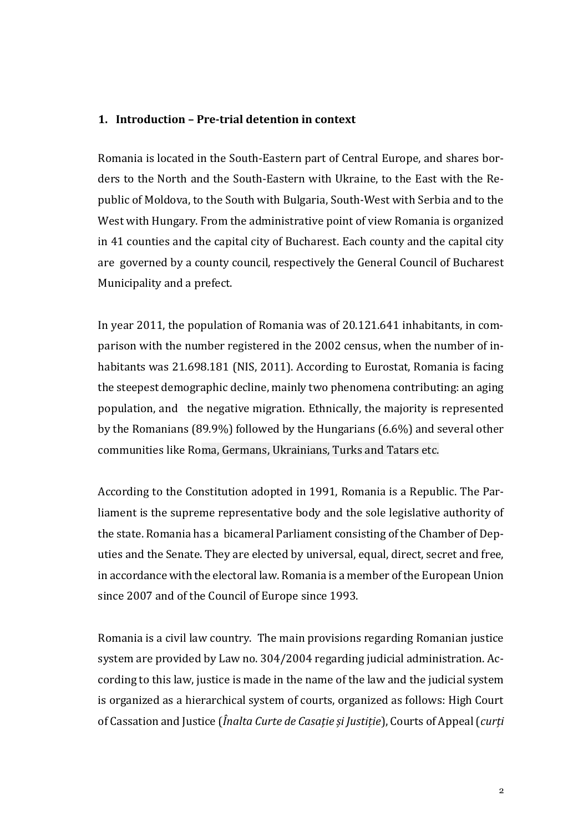#### **1. Introduction – Pre-trial detention in context**

Romania is located in the South-Eastern part of Central Europe, and shares borders to the North and the South-Eastern with Ukraine, to the East with the Republic of Moldova, to the South with Bulgaria, South-West with Serbia and to the West with Hungary. From the administrative point of view Romania is organized in 41 counties and the capital city of Bucharest. Each county and the capital city are governed by a county council, respectively the General Council of Bucharest Municipality and a prefect.

In year 2011, the population of Romania was of 20.121.641 inhabitants, in comparison with the number registered in the 2002 census, when the number of inhabitants was 21.698.181 (NIS, 2011). According to Eurostat, Romania is facing the steepest demographic decline, mainly two phenomena contributing: an aging population, and the negative migration. Ethnically, the majority is represented by the Romanians (89.9%) followed by the Hungarians (6.6%) and several other communities like Roma, Germans, Ukrainians, Turks and Tatars etc.

According to the Constitution adopted in 1991, Romania is a Republic. The Parliament is the supreme representative body and the sole legislative authority of the state. Romania has a bicameral Parliament consisting of the Chamber of Deputies and the Senate. They are elected by universal, equal, direct, secret and free, in accordance with the electoral law. Romania is a member of the European Union since 2007 and of the Council of Europe since 1993.

Romania is a civil law country. The main provisions regarding Romanian justice system are provided by Law no. 304/2004 regarding judicial administration. According to this law, justice is made in the name of the law and the judicial system is organized as a hierarchical system of courts, organized as follows: High Court of Cassation and Justice (*Înalta Curte de Casație și Justiție*), Courts of Appeal (*curți*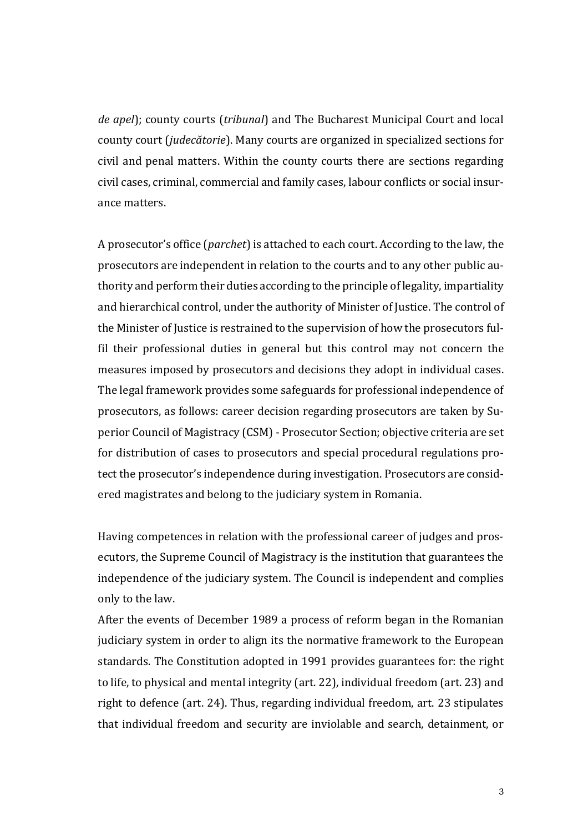*de apel*); county courts (*tribunal*) and The Bucharest Municipal Court and local county court (*judecătorie*). Many courts are organized in specialized sections for civil and penal matters. Within the county courts there are sections regarding civil cases, criminal, commercial and family cases, labour conflicts or social insurance matters.

A prosecutor's office (*parchet*) is attached to each court. According to the law, the prosecutors are independent in relation to the courts and to any other public authority and perform their duties according to the principle of legality, impartiality and hierarchical control, under the authority of Minister of Justice. The control of the Minister of Justice is restrained to the supervision of how the prosecutors fulfil their professional duties in general but this control may not concern the measures imposed by prosecutors and decisions they adopt in individual cases. The legal framework provides some safeguards for professional independence of prosecutors, as follows: career decision regarding prosecutors are taken by Superior Council of Magistracy (CSM) - Prosecutor Section; objective criteria are set for distribution of cases to prosecutors and special procedural regulations protect the prosecutor's independence during investigation. Prosecutors are considered magistrates and belong to the judiciary system in Romania.

Having competences in relation with the professional career of judges and prosecutors, the Supreme Council of Magistracy is the institution that guarantees the independence of the judiciary system. The Council is independent and complies only to the law.

After the events of December 1989 a process of reform began in the Romanian judiciary system in order to align its the normative framework to the European standards. The Constitution adopted in 1991 provides guarantees for: the right to life, to physical and mental integrity (art. 22), individual freedom (art. 23) and right to defence (art. 24). Thus, regarding individual freedom, art. 23 stipulates that individual freedom and security are inviolable and search, detainment, or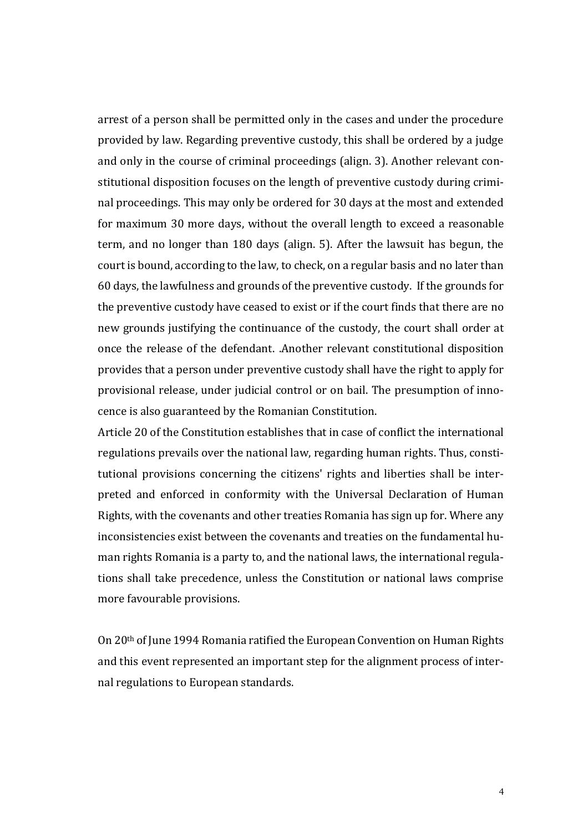arrest of a person shall be permitted only in the cases and under the procedure provided by law. Regarding preventive custody, this shall be ordered by a judge and only in the course of criminal proceedings (align. 3). Another relevant constitutional disposition focuses on the length of preventive custody during criminal proceedings. This may only be ordered for 30 days at the most and extended for maximum 30 more days, without the overall length to exceed a reasonable term, and no longer than 180 days (align. 5). After the lawsuit has begun, the court is bound, according to the law, to check, on a regular basis and no later than 60 days, the lawfulness and grounds of the preventive custody. If the grounds for the preventive custody have ceased to exist or if the court finds that there are no new grounds justifying the continuance of the custody, the court shall order at once the release of the defendant. .Another relevant constitutional disposition provides that a person under preventive custody shall have the right to apply for provisional release, under judicial control or on bail. The presumption of innocence is also guaranteed by the Romanian Constitution.

Article 20 of the Constitution establishes that in case of conflict the international regulations prevails over the national law, regarding human rights. Thus, constitutional provisions concerning the citizens' rights and liberties shall be interpreted and enforced in conformity with the Universal Declaration of Human Rights, with the covenants and other treaties Romania has sign up for. Where any inconsistencies exist between the covenants and treaties on the fundamental human rights Romania is a party to, and the national laws, the international regulations shall take precedence, unless the Constitution or national laws comprise more favourable provisions.

On 20th of June 1994 Romania ratified the European Convention on Human Rights and this event represented an important step for the alignment process of internal regulations to European standards.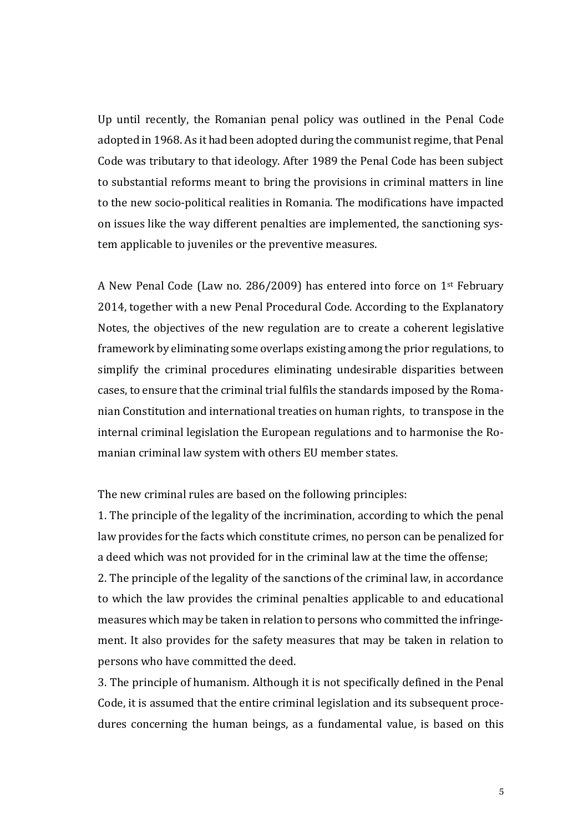Up until recently, the Romanian penal policy was outlined in the Penal Code adopted in 1968. As it had been adopted during the communist regime, that Penal Code was tributary to that ideology. After 1989 the Penal Code has been subject to substantial reforms meant to bring the provisions in criminal matters in line to the new socio-political realities in Romania. The modifications have impacted on issues like the way different penalties are implemented, the sanctioning system applicable to juveniles or the preventive measures.

A New Penal Code (Law no. 286/2009) has entered into force on 1st February 2014, together with a new Penal Procedural Code. According to the Explanatory Notes, the objectives of the new regulation are to create a coherent legislative framework by eliminating some overlaps existing among the prior regulations, to simplify the criminal procedures eliminating undesirable disparities between cases, to ensure that the criminal trial fulfils the standards imposed by the Romanian Constitution and international treaties on human rights, to transpose in the internal criminal legislation the European regulations and to harmonise the Romanian criminal law system with others EU member states.

The new criminal rules are based on the following principles:

1. The principle of the legality of the incrimination, according to which the penal law provides for the facts which constitute crimes, no person can be penalized for a deed which was not provided for in the criminal law at the time the offense;

2. The principle of the legality of the sanctions of the criminal law, in accordance to which the law provides the criminal penalties applicable to and educational measures which may be taken in relation to persons who committed the infringement. It also provides for the safety measures that may be taken in relation to persons who have committed the deed.

3. The principle of humanism. Although it is not specifically defined in the Penal Code, it is assumed that the entire criminal legislation and its subsequent procedures concerning the human beings, as a fundamental value, is based on this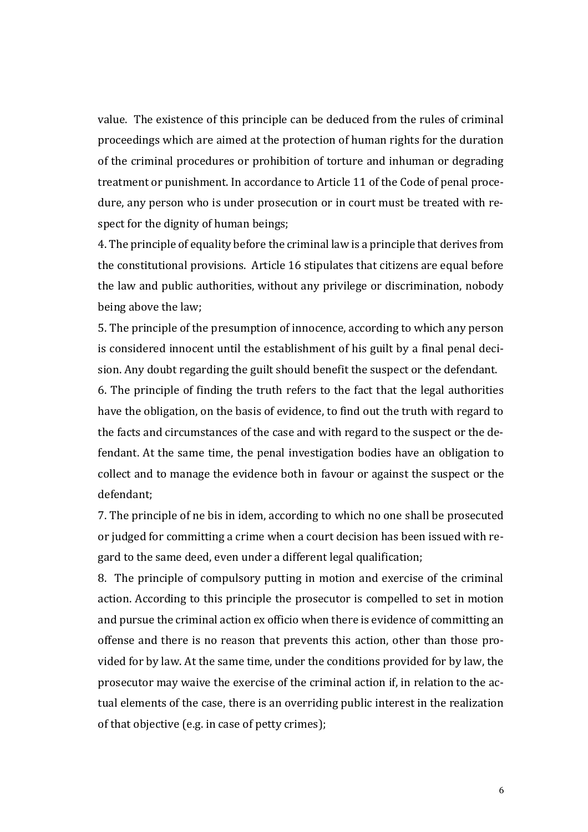value. The existence of this principle can be deduced from the rules of criminal proceedings which are aimed at the protection of human rights for the duration of the criminal procedures or prohibition of torture and inhuman or degrading treatment or punishment. In accordance to Article 11 of the Code of penal procedure, any person who is under prosecution or in court must be treated with respect for the dignity of human beings;

4. The principle of equality before the criminal law is a principle that derives from the constitutional provisions. Article 16 stipulates that citizens are equal before the law and public authorities, without any privilege or discrimination, nobody being above the law;

5. The principle of the presumption of innocence, according to which any person is considered innocent until the establishment of his guilt by a final penal decision. Any doubt regarding the guilt should benefit the suspect or the defendant.

6. The principle of finding the truth refers to the fact that the legal authorities have the obligation, on the basis of evidence, to find out the truth with regard to the facts and circumstances of the case and with regard to the suspect or the defendant. At the same time, the penal investigation bodies have an obligation to collect and to manage the evidence both in favour or against the suspect or the defendant;

7. The principle of ne bis in idem, according to which no one shall be prosecuted or judged for committing a crime when a court decision has been issued with regard to the same deed, even under a different legal qualification;

8. The principle of compulsory putting in motion and exercise of the criminal action. According to this principle the prosecutor is compelled to set in motion and pursue the criminal action ex officio when there is evidence of committing an offense and there is no reason that prevents this action, other than those provided for by law. At the same time, under the conditions provided for by law, the prosecutor may waive the exercise of the criminal action if, in relation to the actual elements of the case, there is an overriding public interest in the realization of that objective (e.g. in case of petty crimes);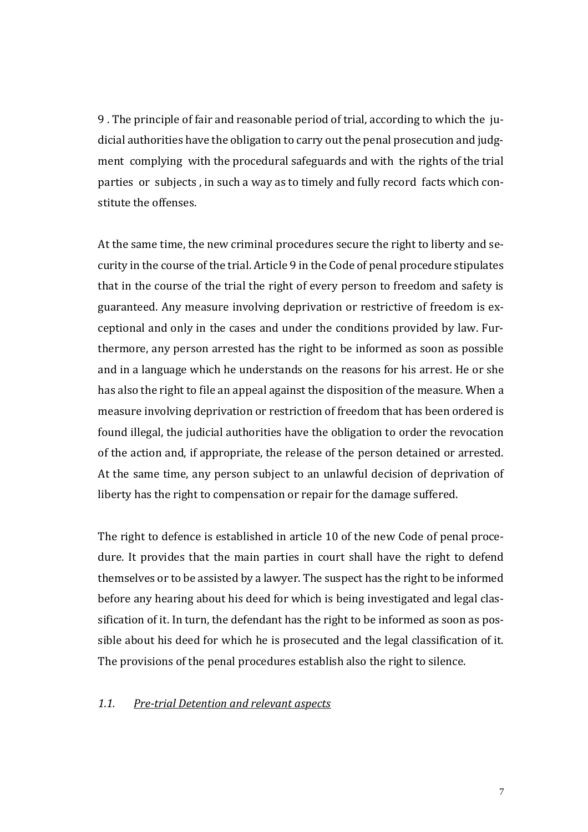9 . The principle of fair and reasonable period of trial, according to which the judicial authorities have the obligation to carry out the penal prosecution and judgment complying with the procedural safeguards and with the rights of the trial parties or subjects , in such a way as to timely and fully record facts which constitute the offenses.

At the same time, the new criminal procedures secure the right to liberty and security in the course of the trial. Article 9 in the Code of penal procedure stipulates that in the course of the trial the right of every person to freedom and safety is guaranteed. Any measure involving deprivation or restrictive of freedom is exceptional and only in the cases and under the conditions provided by law. Furthermore, any person arrested has the right to be informed as soon as possible and in a language which he understands on the reasons for his arrest. He or she has also the right to file an appeal against the disposition of the measure. When a measure involving deprivation or restriction of freedom that has been ordered is found illegal, the judicial authorities have the obligation to order the revocation of the action and, if appropriate, the release of the person detained or arrested. At the same time, any person subject to an unlawful decision of deprivation of liberty has the right to compensation or repair for the damage suffered.

The right to defence is established in article 10 of the new Code of penal procedure. It provides that the main parties in court shall have the right to defend themselves or to be assisted by a lawyer. The suspect has the right to be informed before any hearing about his deed for which is being investigated and legal classification of it. In turn, the defendant has the right to be informed as soon as possible about his deed for which he is prosecuted and the legal classification of it. The provisions of the penal procedures establish also the right to silence.

#### *1.1. Pre-trial Detention and relevant aspects*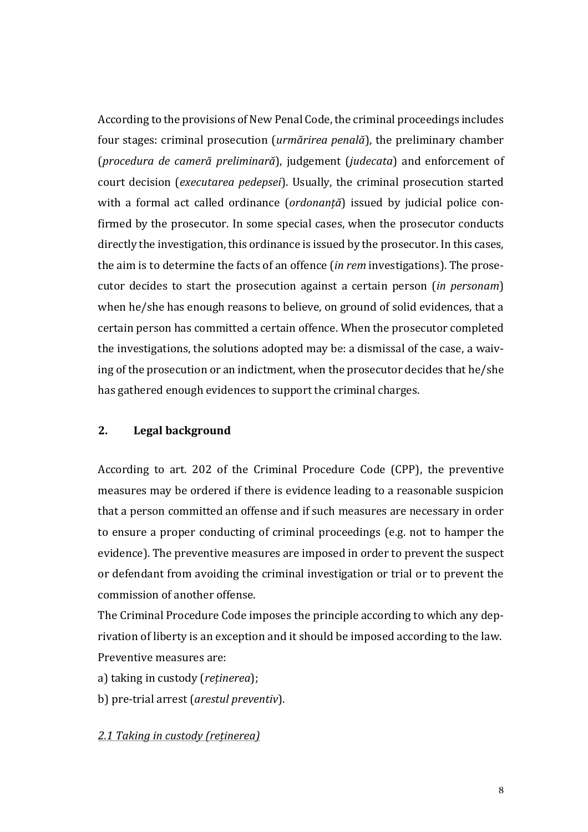According to the provisions of New Penal Code, the criminal proceedings includes four stages: criminal prosecution (*urmărirea penală*), the preliminary chamber (*procedura de cameră preliminară*), judgement (*judecata*) and enforcement of court decision (*executarea pedepsei*). Usually, the criminal prosecution started with a formal act called ordinance (*ordonanță*) issued by judicial police confirmed by the prosecutor. In some special cases, when the prosecutor conducts directly the investigation, this ordinance is issued by the prosecutor. In this cases, the aim is to determine the facts of an offence (*in rem* investigations). The prosecutor decides to start the prosecution against a certain person (*in personam*) when he/she has enough reasons to believe, on ground of solid evidences, that a certain person has committed a certain offence. When the prosecutor completed the investigations, the solutions adopted may be: a dismissal of the case, a waiving of the prosecution or an indictment, when the prosecutor decides that he/she has gathered enough evidences to support the criminal charges.

#### **2. Legal background**

According to art. 202 of the Criminal Procedure Code (CPP), the preventive measures may be ordered if there is evidence leading to a reasonable suspicion that a person committed an offense and if such measures are necessary in order to ensure a proper conducting of criminal proceedings (e.g. not to hamper the evidence). The preventive measures are imposed in order to prevent the suspect or defendant from avoiding the criminal investigation or trial or to prevent the commission of another offense.

The Criminal Procedure Code imposes the principle according to which any deprivation of liberty is an exception and it should be imposed according to the law. Preventive measures are:

a) taking in custody (*reținerea*);

b) pre-trial arrest (*arestul preventiv*).

## *2.1 Taking in custody (reținerea)*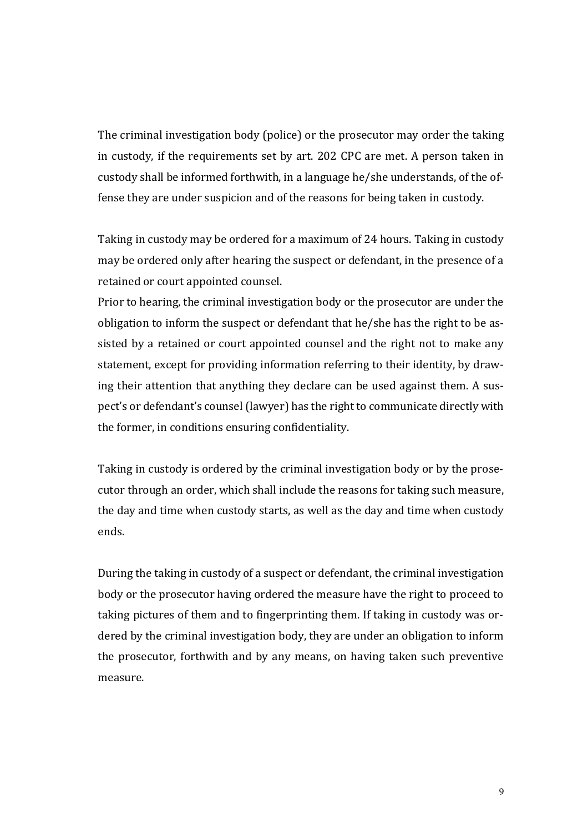The criminal investigation body (police) or the prosecutor may order the taking in custody, if the requirements set by art. 202 CPC are met. A person taken in custody shall be informed forthwith, in a language he/she understands, of the offense they are under suspicion and of the reasons for being taken in custody.

Taking in custody may be ordered for a maximum of 24 hours. Taking in custody may be ordered only after hearing the suspect or defendant, in the presence of a retained or court appointed counsel.

Prior to hearing, the criminal investigation body or the prosecutor are under the obligation to inform the suspect or defendant that he/she has the right to be assisted by a retained or court appointed counsel and the right not to make any statement, except for providing information referring to their identity, by drawing their attention that anything they declare can be used against them. A suspect's or defendant's counsel (lawyer) has the right to communicate directly with the former, in conditions ensuring confidentiality.

Taking in custody is ordered by the criminal investigation body or by the prosecutor through an order, which shall include the reasons for taking such measure, the day and time when custody starts, as well as the day and time when custody ends.

During the taking in custody of a suspect or defendant, the criminal investigation body or the prosecutor having ordered the measure have the right to proceed to taking pictures of them and to fingerprinting them. If taking in custody was ordered by the criminal investigation body, they are under an obligation to inform the prosecutor, forthwith and by any means, on having taken such preventive measure.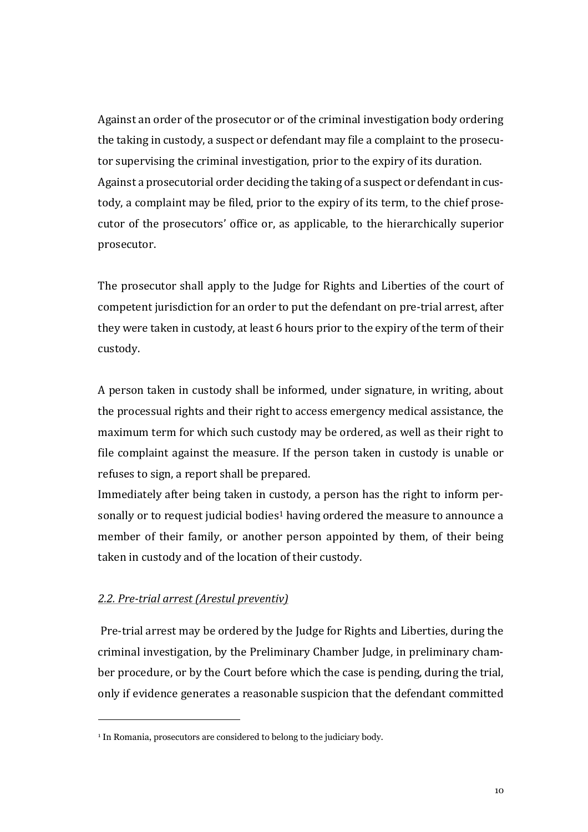Against an order of the prosecutor or of the criminal investigation body ordering the taking in custody, a suspect or defendant may file a complaint to the prosecutor supervising the criminal investigation, prior to the expiry of its duration. Against a prosecutorial order deciding the taking of a suspect or defendant in custody, a complaint may be filed, prior to the expiry of its term, to the chief prosecutor of the prosecutors' office or, as applicable, to the hierarchically superior prosecutor.

The prosecutor shall apply to the Judge for Rights and Liberties of the court of competent jurisdiction for an order to put the defendant on pre-trial arrest, after they were taken in custody, at least 6 hours prior to the expiry of the term of their custody.

A person taken in custody shall be informed, under signature, in writing, about the processual rights and their right to access emergency medical assistance, the maximum term for which such custody may be ordered, as well as their right to file complaint against the measure. If the person taken in custody is unable or refuses to sign, a report shall be prepared.

Immediately after being taken in custody, a person has the right to inform personally or to request judicial bodies<sup>1</sup> having ordered the measure to announce a member of their family, or another person appointed by them, of their being taken in custody and of the location of their custody.

#### *2.2. Pre-trial arrest (Arestul preventiv)*

j

Pre-trial arrest may be ordered by the Judge for Rights and Liberties, during the criminal investigation, by the Preliminary Chamber Judge, in preliminary chamber procedure, or by the Court before which the case is pending, during the trial, only if evidence generates a reasonable suspicion that the defendant committed

<sup>&</sup>lt;sup>1</sup> In Romania, prosecutors are considered to belong to the judiciary body.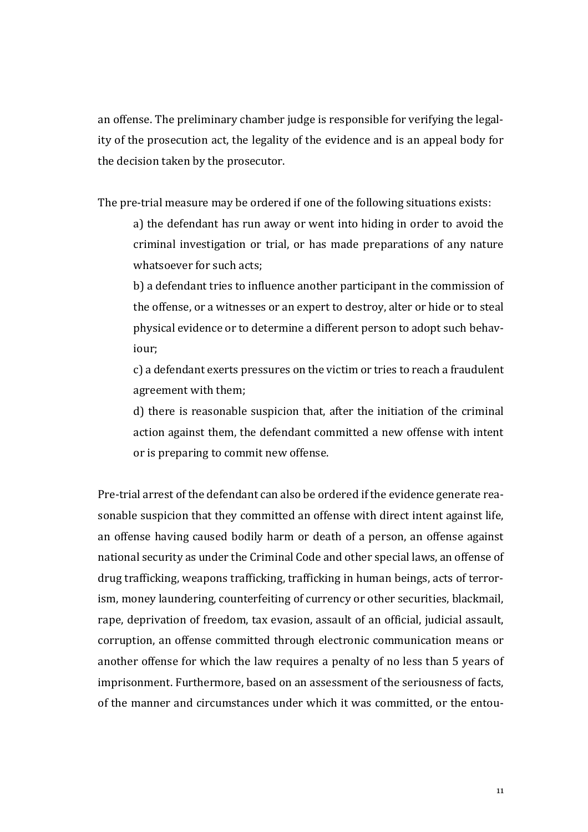an offense. The preliminary chamber judge is responsible for verifying the legality of the prosecution act, the legality of the evidence and is an appeal body for the decision taken by the prosecutor.

The pre-trial measure may be ordered if one of the following situations exists:

a) the defendant has run away or went into hiding in order to avoid the criminal investigation or trial, or has made preparations of any nature whatsoever for such acts;

b) a defendant tries to influence another participant in the commission of the offense, or a witnesses or an expert to destroy, alter or hide or to steal physical evidence or to determine a different person to adopt such behaviour;

c) a defendant exerts pressures on the victim or tries to reach a fraudulent agreement with them;

d) there is reasonable suspicion that, after the initiation of the criminal action against them, the defendant committed a new offense with intent or is preparing to commit new offense.

Pre-trial arrest of the defendant can also be ordered if the evidence generate reasonable suspicion that they committed an offense with direct intent against life, an offense having caused bodily harm or death of a person, an offense against national security as under the Criminal Code and other special laws, an offense of drug trafficking, weapons trafficking, trafficking in human beings, acts of terrorism, money laundering, counterfeiting of currency or other securities, blackmail, rape, deprivation of freedom, tax evasion, assault of an official, judicial assault, corruption, an offense committed through electronic communication means or another offense for which the law requires a penalty of no less than 5 years of imprisonment. Furthermore, based on an assessment of the seriousness of facts, of the manner and circumstances under which it was committed, or the entou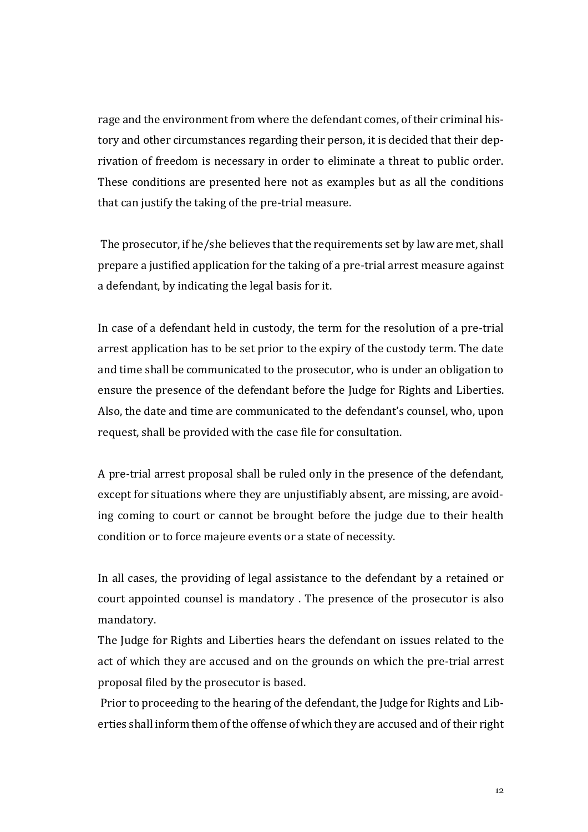rage and the environment from where the defendant comes, of their criminal history and other circumstances regarding their person, it is decided that their deprivation of freedom is necessary in order to eliminate a threat to public order. These conditions are presented here not as examples but as all the conditions that can justify the taking of the pre-trial measure.

The prosecutor, if he/she believes that the requirements set by law are met, shall prepare a justified application for the taking of a pre-trial arrest measure against a defendant, by indicating the legal basis for it.

In case of a defendant held in custody, the term for the resolution of a pre-trial arrest application has to be set prior to the expiry of the custody term. The date and time shall be communicated to the prosecutor, who is under an obligation to ensure the presence of the defendant before the Judge for Rights and Liberties. Also, the date and time are communicated to the defendant's counsel, who, upon request, shall be provided with the case file for consultation.

A pre-trial arrest proposal shall be ruled only in the presence of the defendant, except for situations where they are unjustifiably absent, are missing, are avoiding coming to court or cannot be brought before the judge due to their health condition or to force majeure events or a state of necessity.

In all cases, the providing of legal assistance to the defendant by a retained or court appointed counsel is mandatory . The presence of the prosecutor is also mandatory.

The Judge for Rights and Liberties hears the defendant on issues related to the act of which they are accused and on the grounds on which the pre-trial arrest proposal filed by the prosecutor is based.

Prior to proceeding to the hearing of the defendant, the Judge for Rights and Liberties shall inform them of the offense of which they are accused and of their right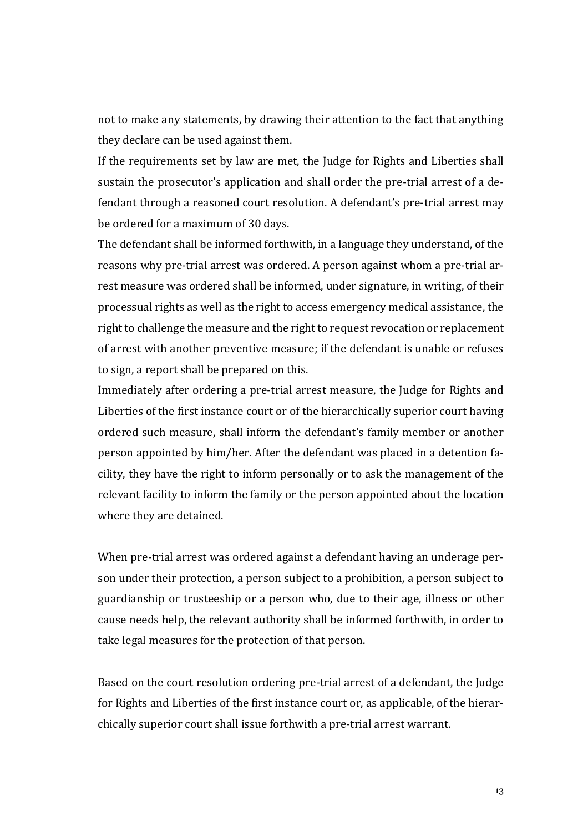not to make any statements, by drawing their attention to the fact that anything they declare can be used against them.

If the requirements set by law are met, the Judge for Rights and Liberties shall sustain the prosecutor's application and shall order the pre-trial arrest of a defendant through a reasoned court resolution. A defendant's pre-trial arrest may be ordered for a maximum of 30 days.

The defendant shall be informed forthwith, in a language they understand, of the reasons why pre-trial arrest was ordered. A person against whom a pre-trial arrest measure was ordered shall be informed, under signature, in writing, of their processual rights as well as the right to access emergency medical assistance, the right to challenge the measure and the right to request revocation or replacement of arrest with another preventive measure; if the defendant is unable or refuses to sign, a report shall be prepared on this.

Immediately after ordering a pre-trial arrest measure, the Judge for Rights and Liberties of the first instance court or of the hierarchically superior court having ordered such measure, shall inform the defendant's family member or another person appointed by him/her. After the defendant was placed in a detention facility, they have the right to inform personally or to ask the management of the relevant facility to inform the family or the person appointed about the location where they are detained.

When pre-trial arrest was ordered against a defendant having an underage person under their protection, a person subject to a prohibition, a person subject to guardianship or trusteeship or a person who, due to their age, illness or other cause needs help, the relevant authority shall be informed forthwith, in order to take legal measures for the protection of that person.

Based on the court resolution ordering pre-trial arrest of a defendant, the Judge for Rights and Liberties of the first instance court or, as applicable, of the hierarchically superior court shall issue forthwith a pre-trial arrest warrant.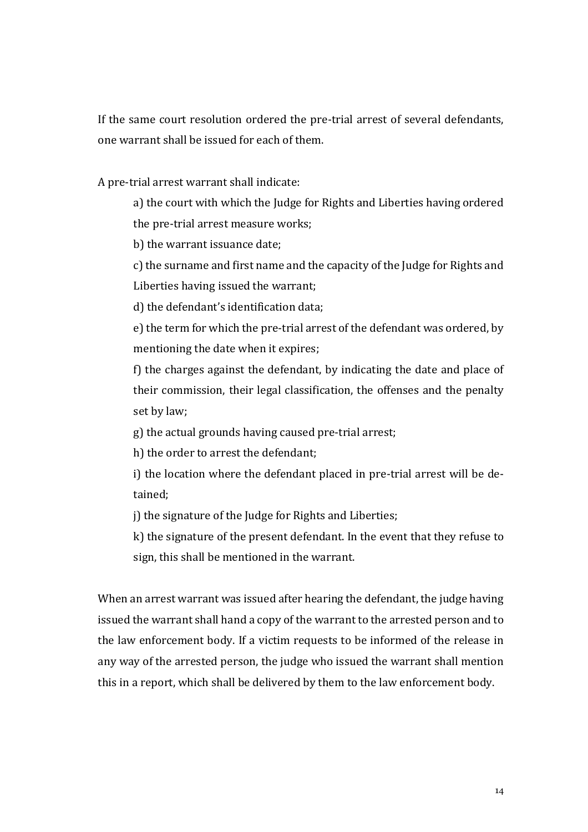If the same court resolution ordered the pre-trial arrest of several defendants, one warrant shall be issued for each of them.

A pre-trial arrest warrant shall indicate:

a) the court with which the Judge for Rights and Liberties having ordered the pre-trial arrest measure works;

b) the warrant issuance date;

c) the surname and first name and the capacity of the Judge for Rights and Liberties having issued the warrant;

d) the defendant's identification data;

e) the term for which the pre-trial arrest of the defendant was ordered, by mentioning the date when it expires;

f) the charges against the defendant, by indicating the date and place of their commission, their legal classification, the offenses and the penalty set by law;

g) the actual grounds having caused pre-trial arrest;

h) the order to arrest the defendant;

i) the location where the defendant placed in pre-trial arrest will be detained;

j) the signature of the Judge for Rights and Liberties;

k) the signature of the present defendant. In the event that they refuse to sign, this shall be mentioned in the warrant.

When an arrest warrant was issued after hearing the defendant, the judge having issued the warrant shall hand a copy of the warrant to the arrested person and to the law enforcement body. If a victim requests to be informed of the release in any way of the arrested person, the judge who issued the warrant shall mention this in a report, which shall be delivered by them to the law enforcement body.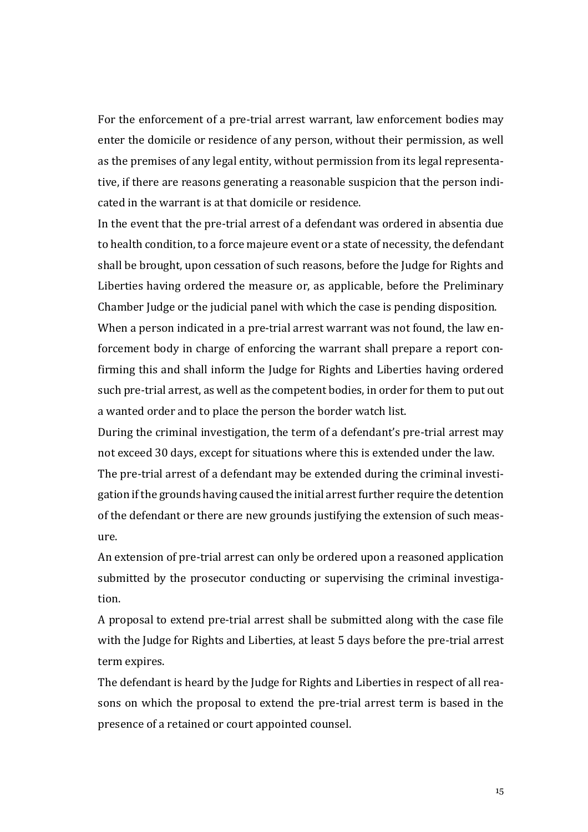For the enforcement of a pre-trial arrest warrant, law enforcement bodies may enter the domicile or residence of any person, without their permission, as well as the premises of any legal entity, without permission from its legal representative, if there are reasons generating a reasonable suspicion that the person indicated in the warrant is at that domicile or residence.

In the event that the pre-trial arrest of a defendant was ordered in absentia due to health condition, to a force majeure event or a state of necessity, the defendant shall be brought, upon cessation of such reasons, before the Judge for Rights and Liberties having ordered the measure or, as applicable, before the Preliminary Chamber Judge or the judicial panel with which the case is pending disposition.

When a person indicated in a pre-trial arrest warrant was not found, the law enforcement body in charge of enforcing the warrant shall prepare a report confirming this and shall inform the Judge for Rights and Liberties having ordered such pre-trial arrest, as well as the competent bodies, in order for them to put out a wanted order and to place the person the border watch list.

During the criminal investigation, the term of a defendant's pre-trial arrest may not exceed 30 days, except for situations where this is extended under the law.

The pre-trial arrest of a defendant may be extended during the criminal investigation if the grounds having caused the initial arrest further require the detention of the defendant or there are new grounds justifying the extension of such measure.

An extension of pre-trial arrest can only be ordered upon a reasoned application submitted by the prosecutor conducting or supervising the criminal investigation.

A proposal to extend pre-trial arrest shall be submitted along with the case file with the Judge for Rights and Liberties, at least 5 days before the pre-trial arrest term expires.

The defendant is heard by the Judge for Rights and Liberties in respect of all reasons on which the proposal to extend the pre-trial arrest term is based in the presence of a retained or court appointed counsel.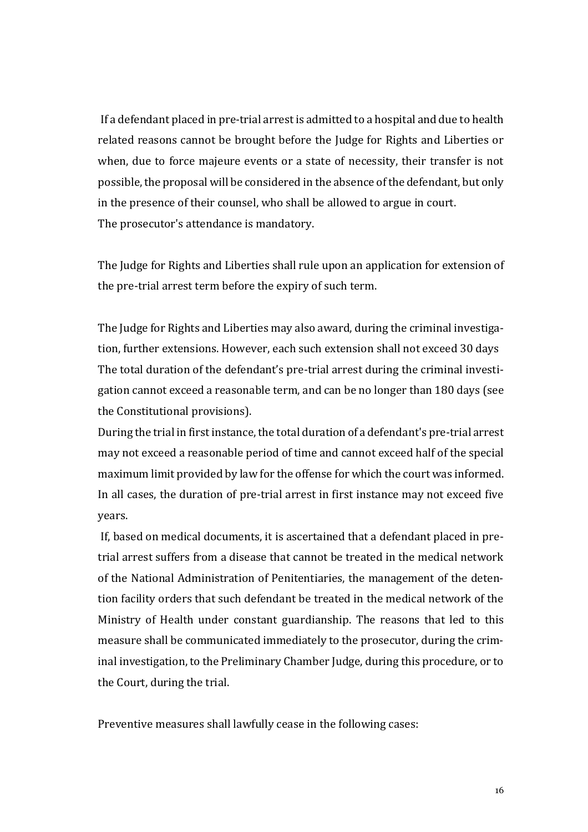If a defendant placed in pre-trial arrest is admitted to a hospital and due to health related reasons cannot be brought before the Judge for Rights and Liberties or when, due to force majeure events or a state of necessity, their transfer is not possible, the proposal will be considered in the absence of the defendant, but only in the presence of their counsel, who shall be allowed to argue in court. The prosecutor's attendance is mandatory.

The Judge for Rights and Liberties shall rule upon an application for extension of the pre-trial arrest term before the expiry of such term.

The Judge for Rights and Liberties may also award, during the criminal investigation, further extensions. However, each such extension shall not exceed 30 days The total duration of the defendant's pre-trial arrest during the criminal investigation cannot exceed a reasonable term, and can be no longer than 180 days (see the Constitutional provisions).

During the trial in first instance, the total duration of a defendant's pre-trial arrest may not exceed a reasonable period of time and cannot exceed half of the special maximum limit provided by law for the offense for which the court was informed. In all cases, the duration of pre-trial arrest in first instance may not exceed five years.

If, based on medical documents, it is ascertained that a defendant placed in pretrial arrest suffers from a disease that cannot be treated in the medical network of the National Administration of Penitentiaries, the management of the detention facility orders that such defendant be treated in the medical network of the Ministry of Health under constant guardianship. The reasons that led to this measure shall be communicated immediately to the prosecutor, during the criminal investigation, to the Preliminary Chamber Judge, during this procedure, or to the Court, during the trial.

Preventive measures shall lawfully cease in the following cases: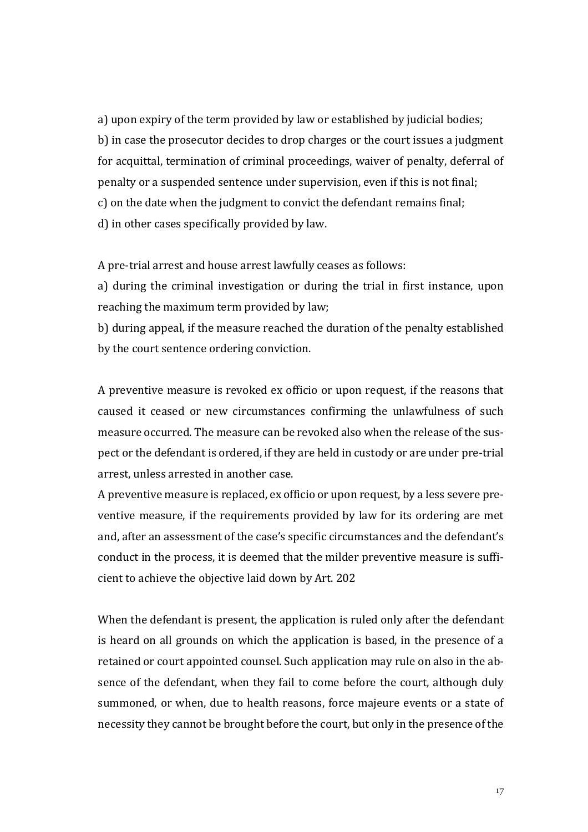a) upon expiry of the term provided by law or established by judicial bodies; b) in case the prosecutor decides to drop charges or the court issues a judgment for acquittal, termination of criminal proceedings, waiver of penalty, deferral of penalty or a suspended sentence under supervision, even if this is not final; c) on the date when the judgment to convict the defendant remains final; d) in other cases specifically provided by law.

A pre-trial arrest and house arrest lawfully ceases as follows:

a) during the criminal investigation or during the trial in first instance, upon reaching the maximum term provided by law;

b) during appeal, if the measure reached the duration of the penalty established by the court sentence ordering conviction.

A preventive measure is revoked ex officio or upon request, if the reasons that caused it ceased or new circumstances confirming the unlawfulness of such measure occurred. The measure can be revoked also when the release of the suspect or the defendant is ordered, if they are held in custody or are under pre-trial arrest, unless arrested in another case.

A preventive measure is replaced, ex officio or upon request, by a less severe preventive measure, if the requirements provided by law for its ordering are met and, after an assessment of the case's specific circumstances and the defendant's conduct in the process, it is deemed that the milder preventive measure is sufficient to achieve the objective laid down by Art. 202

When the defendant is present, the application is ruled only after the defendant is heard on all grounds on which the application is based, in the presence of a retained or court appointed counsel. Such application may rule on also in the absence of the defendant, when they fail to come before the court, although duly summoned, or when, due to health reasons, force majeure events or a state of necessity they cannot be brought before the court, but only in the presence of the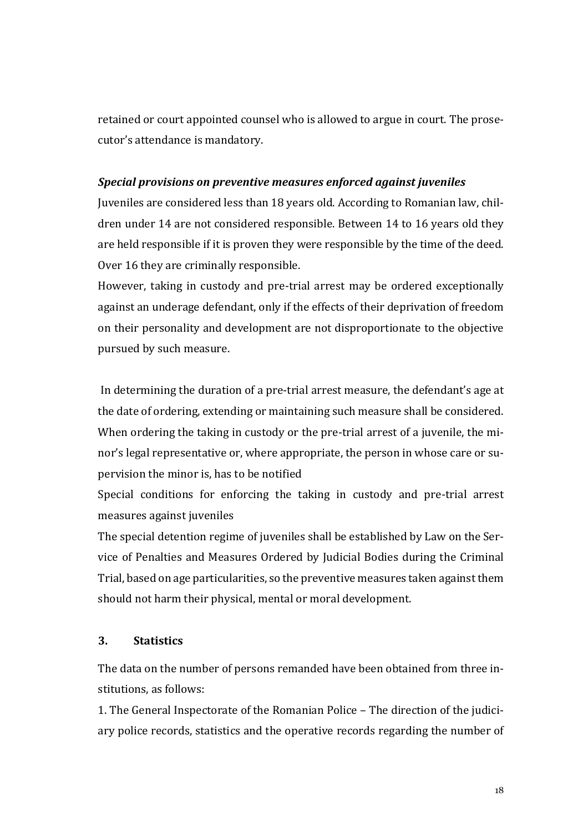retained or court appointed counsel who is allowed to argue in court. The prosecutor's attendance is mandatory.

#### *Special provisions on preventive measures enforced against juveniles*

Juveniles are considered less than 18 years old. According to Romanian law, children under 14 are not considered responsible. Between 14 to 16 years old they are held responsible if it is proven they were responsible by the time of the deed. Over 16 they are criminally responsible.

However, taking in custody and pre-trial arrest may be ordered exceptionally against an underage defendant, only if the effects of their deprivation of freedom on their personality and development are not disproportionate to the objective pursued by such measure.

In determining the duration of a pre-trial arrest measure, the defendant's age at the date of ordering, extending or maintaining such measure shall be considered. When ordering the taking in custody or the pre-trial arrest of a juvenile, the minor's legal representative or, where appropriate, the person in whose care or supervision the minor is, has to be notified

Special conditions for enforcing the taking in custody and pre-trial arrest measures against juveniles

The special detention regime of juveniles shall be established by Law on the Service of Penalties and Measures Ordered by Judicial Bodies during the Criminal Trial, based on age particularities, so the preventive measures taken against them should not harm their physical, mental or moral development.

## **3. Statistics**

The data on the number of persons remanded have been obtained from three institutions, as follows:

1. The General Inspectorate of the Romanian Police – The direction of the judiciary police records, statistics and the operative records regarding the number of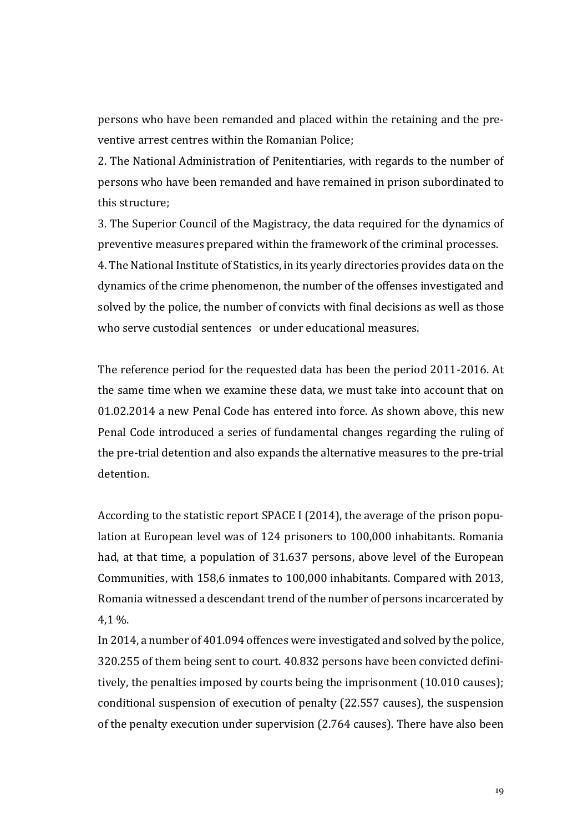persons who have been remanded and placed within the retaining and the preventive arrest centres within the Romanian Police;

2. The National Administration of Penitentiaries, with regards to the number of persons who have been remanded and have remained in prison subordinated to this structure;

3. The Superior Council of the Magistracy, the data required for the dynamics of preventive measures prepared within the framework of the criminal processes. 4. The National Institute of Statistics, in its yearly directories provides data on the dynamics of the crime phenomenon, the number of the offenses investigated and solved by the police, the number of convicts with final decisions as well as those who serve custodial sentences or under educational measures.

The reference period for the requested data has been the period 2011-2016. At the same time when we examine these data, we must take into account that on 01.02.2014 a new Penal Code has entered into force. As shown above, this new Penal Code introduced a series of fundamental changes regarding the ruling of the pre-trial detention and also expands the alternative measures to the pre-trial detention.

According to the statistic report SPACE I (2014), the average of the prison population at European level was of 124 prisoners to 100,000 inhabitants. Romania had, at that time, a population of 31.637 persons, above level of the European Communities, with 158,6 inmates to 100,000 inhabitants. Compared with 2013, Romania witnessed a descendant trend of the number of persons incarcerated by 4,1 %.

In 2014, a number of 401.094 offences were investigated and solved by the police, 320.255 of them being sent to court. 40.832 persons have been convicted definitively, the penalties imposed by courts being the imprisonment (10.010 causes); conditional suspension of execution of penalty (22.557 causes), the suspension of the penalty execution under supervision (2.764 causes). There have also been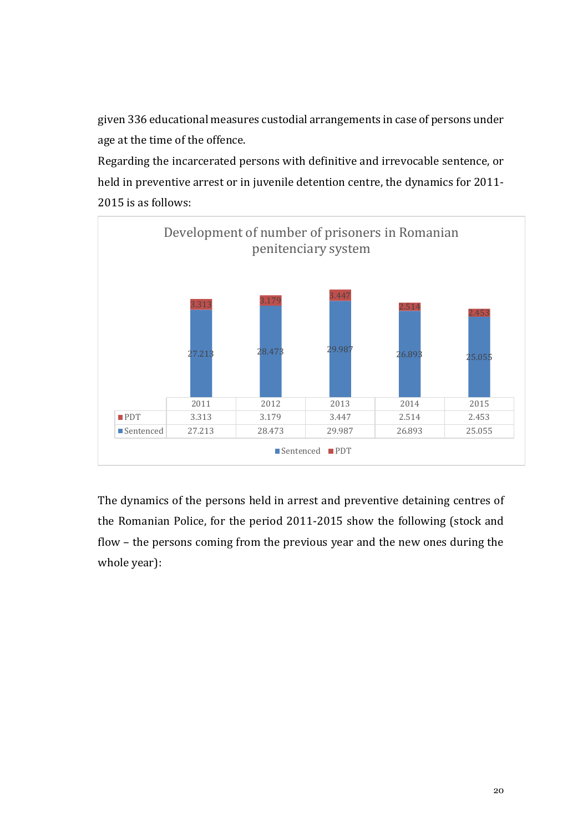given 336 educational measures custodial arrangements in case of persons under age at the time of the offence.

Regarding the incarcerated persons with definitive and irrevocable sentence, or held in preventive arrest or in juvenile detention centre, the dynamics for 2011- 2015 is as follows:



The dynamics of the persons held in arrest and preventive detaining centres of the Romanian Police, for the period 2011-2015 show the following (stock and flow – the persons coming from the previous year and the new ones during the whole year):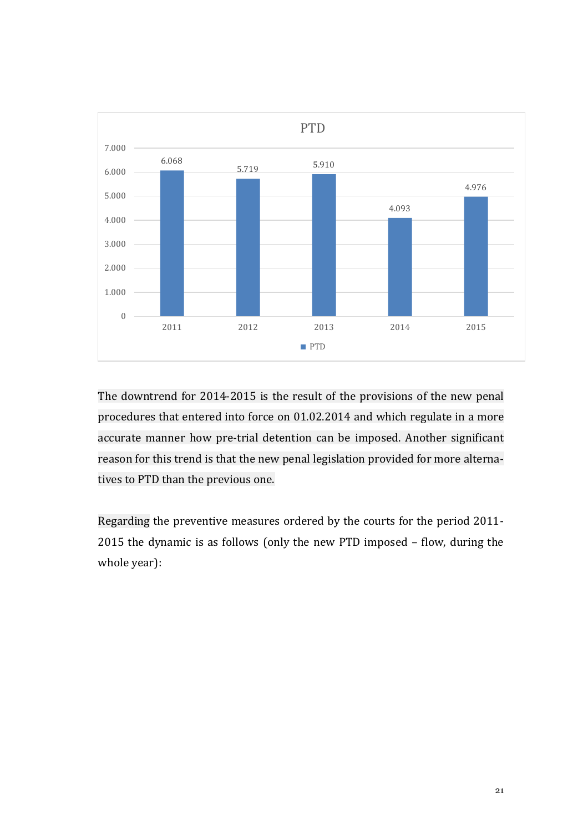

The downtrend for 2014-2015 is the result of the provisions of the new penal procedures that entered into force on 01.02.2014 and which regulate in a more accurate manner how pre-trial detention can be imposed. Another significant reason for this trend is that the new penal legislation provided for more alternatives to PTD than the previous one.

Regarding the preventive measures ordered by the courts for the period 2011- 2015 the dynamic is as follows (only the new PTD imposed – flow, during the whole year):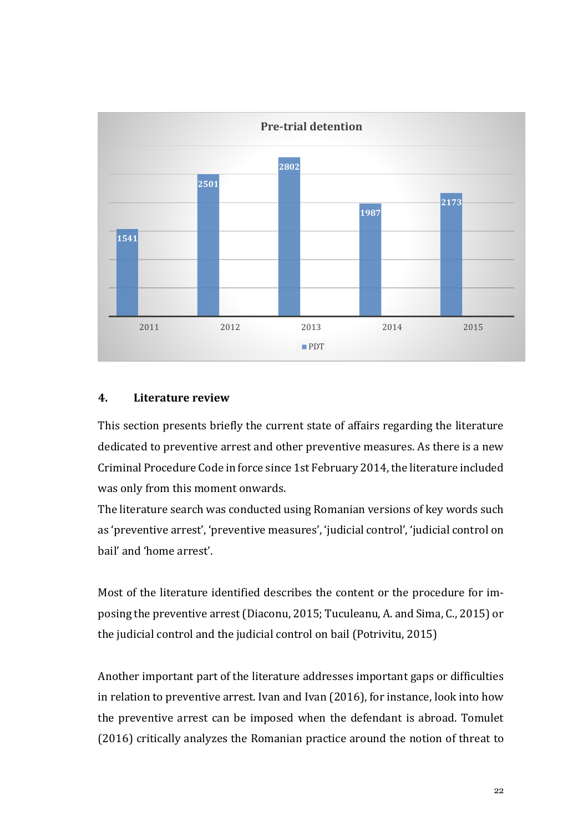

#### **4. Literature review**

This section presents briefly the current state of affairs regarding the literature dedicated to preventive arrest and other preventive measures. As there is a new Criminal Procedure Code in force since 1st February 2014, the literature included was only from this moment onwards.

The literature search was conducted using Romanian versions of key words such as 'preventive arrest', 'preventive measures', 'judicial control', 'judicial control on bail' and 'home arrest'.

Most of the literature identified describes the content or the procedure for imposing the preventive arrest (Diaconu, 2015; Tuculeanu, A. and Sima, C., 2015) or the judicial control and the judicial control on bail (Potrivitu, 2015)

Another important part of the literature addresses important gaps or difficulties in relation to preventive arrest. Ivan and Ivan (2016), for instance, look into how the preventive arrest can be imposed when the defendant is abroad. Tomulet (2016) critically analyzes the Romanian practice around the notion of threat to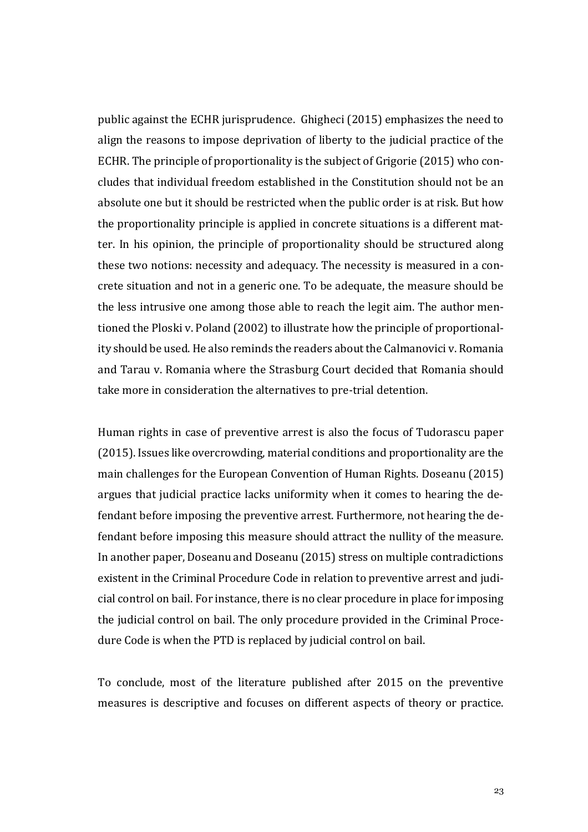public against the ECHR jurisprudence. Ghigheci (2015) emphasizes the need to align the reasons to impose deprivation of liberty to the judicial practice of the ECHR. The principle of proportionality is the subject of Grigorie (2015) who concludes that individual freedom established in the Constitution should not be an absolute one but it should be restricted when the public order is at risk. But how the proportionality principle is applied in concrete situations is a different matter. In his opinion, the principle of proportionality should be structured along these two notions: necessity and adequacy. The necessity is measured in a concrete situation and not in a generic one. To be adequate, the measure should be the less intrusive one among those able to reach the legit aim. The author mentioned the Ploski v. Poland (2002) to illustrate how the principle of proportionality should be used. He also reminds the readers about the Calmanovici v. Romania and Tarau v. Romania where the Strasburg Court decided that Romania should take more in consideration the alternatives to pre-trial detention.

Human rights in case of preventive arrest is also the focus of Tudorascu paper (2015). Issues like overcrowding, material conditions and proportionality are the main challenges for the European Convention of Human Rights. Doseanu (2015) argues that judicial practice lacks uniformity when it comes to hearing the defendant before imposing the preventive arrest. Furthermore, not hearing the defendant before imposing this measure should attract the nullity of the measure. In another paper, Doseanu and Doseanu (2015) stress on multiple contradictions existent in the Criminal Procedure Code in relation to preventive arrest and judicial control on bail. For instance, there is no clear procedure in place for imposing the judicial control on bail. The only procedure provided in the Criminal Procedure Code is when the PTD is replaced by judicial control on bail.

To conclude, most of the literature published after 2015 on the preventive measures is descriptive and focuses on different aspects of theory or practice.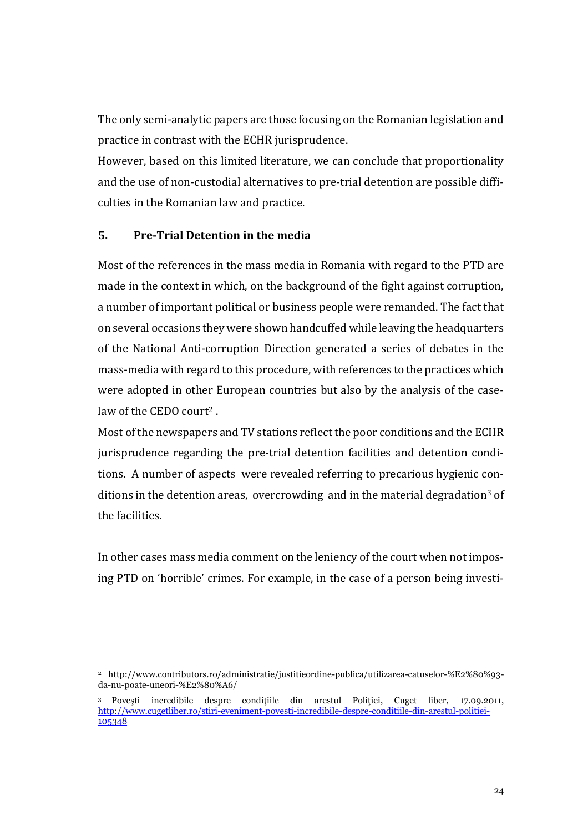The only semi-analytic papers are those focusing on the Romanian legislation and practice in contrast with the ECHR jurisprudence.

However, based on this limited literature, we can conclude that proportionality and the use of non-custodial alternatives to pre-trial detention are possible difficulties in the Romanian law and practice.

### **5. Pre-Trial Detention in the media**

-

Most of the references in the mass media in Romania with regard to the PTD are made in the context in which, on the background of the fight against corruption, a number of important political or business people were remanded. The fact that on several occasions they were shown handcuffed while leaving the headquarters of the National Anti-corruption Direction generated a series of debates in the mass-media with regard to this procedure, with references to the practices which were adopted in other European countries but also by the analysis of the caselaw of the CEDO court<sup>2</sup>.

Most of the newspapers and TV stations reflect the poor conditions and the ECHR jurisprudence regarding the pre-trial detention facilities and detention conditions. A number of aspects were revealed referring to precarious hygienic conditions in the detention areas, overcrowding and in the material degradation<sup>3</sup> of the facilities.

In other cases mass media comment on the leniency of the court when not imposing PTD on 'horrible' crimes. For example, in the case of a person being investi-

<sup>2</sup> http://www.contributors.ro/administratie/justitieordine-publica/utilizarea-catuselor-%E2%80%93 da-nu-poate-uneori-%E2%80%A6/

<sup>3</sup> Poveşti incredibile despre condiţiile din arestul Poliţiei, Cuget liber, 17.09.2011, [http://www.cugetliber.ro/stiri-eveniment-povesti-incredibile-despre-conditiile-din-arestul-politiei-](http://www.cugetliber.ro/stiri-eveniment-povesti-incredibile-despre-conditiile-din-arestul-politiei-105348)[105348](http://www.cugetliber.ro/stiri-eveniment-povesti-incredibile-despre-conditiile-din-arestul-politiei-105348)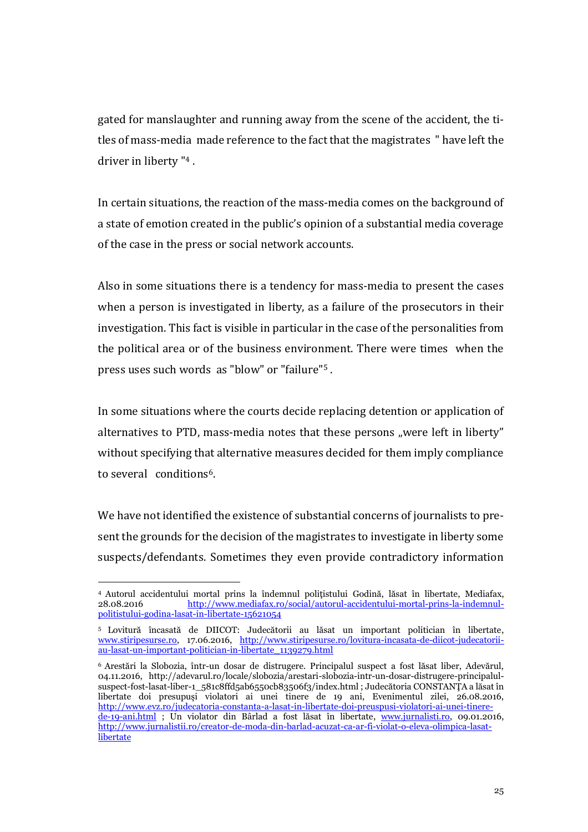gated for manslaughter and running away from the scene of the accident, the titles of mass-media made reference to the fact that the magistrates " have left the driver in liberty " <sup>4</sup> .

In certain situations, the reaction of the mass-media comes on the background of a state of emotion created in the public's opinion of a substantial media coverage of the case in the press or social network accounts.

Also in some situations there is a tendency for mass-media to present the cases when a person is investigated in liberty, as a failure of the prosecutors in their investigation. This fact is visible in particular in the case of the personalities from the political area or of the business environment. There were times when the press uses such words as "blow" or "failure"<sup>5</sup> .

In some situations where the courts decide replacing detention or application of alternatives to PTD, mass-media notes that these persons "were left in liberty" without specifying that alternative measures decided for them imply compliance to several conditions6.

We have not identified the existence of substantial concerns of journalists to present the grounds for the decision of the magistrates to investigate in liberty some suspects/defendants. Sometimes they even provide contradictory information

-

<sup>4</sup> Autorul accidentului mortal prins la îndemnul poliţistului Godină, lăsat în libertate, Mediafax, 28.08.2016 [http://www.mediafax.ro/social/autorul-accidentului-mortal-prins-la-indemnul](http://www.mediafax.ro/social/autorul-accidentului-mortal-prins-la-indemnul-politistului-godina-lasat-in-libertate-15621054)[politistului-godina-lasat-in-libertate-15621054](http://www.mediafax.ro/social/autorul-accidentului-mortal-prins-la-indemnul-politistului-godina-lasat-in-libertate-15621054)

<sup>5</sup> Lovitură încasată de DIICOT: Judecătorii au lăsat un important politician în libertate, [www.stiripesurse.ro,](http://www.stiripesurse.ro/) 17.06.2016, [http://www.stiripesurse.ro/lovitura-incasata-de-diicot-judecatorii](http://www.stiripesurse.ro/lovitura-incasata-de-diicot-judecatorii-au-lasat-un-important-politician-in-libertate_1139279.html)[au-lasat-un-important-politician-in-libertate\\_1139279.html](http://www.stiripesurse.ro/lovitura-incasata-de-diicot-judecatorii-au-lasat-un-important-politician-in-libertate_1139279.html)

<sup>6</sup> Arestări la Slobozia, într-un dosar de distrugere. Principalul suspect a fost lăsat liber, Adevărul, 04.11.2016, http://adevarul.ro/locale/slobozia/arestari-slobozia-intr-un-dosar-distrugere-principalulsuspect-fost-lasat-liber-1\_581c8ffd5ab6550cb83506f3/index.html ; Judecătoria CONSTANŢA a lăsat în libertate doi presupuşi violatori ai unei tinere de 19 ani, Evenimentul zilei, 26.08.2016, [http://www.evz.ro/judecatoria-constanta-a-lasat-in-libertate-doi-preuspusi-violatori-ai-unei-tinere](http://www.evz.ro/judecatoria-constanta-a-lasat-in-libertate-doi-preuspusi-violatori-ai-unei-tinere-de-19-ani.html)[de-19-ani.html](http://www.evz.ro/judecatoria-constanta-a-lasat-in-libertate-doi-preuspusi-violatori-ai-unei-tinere-de-19-ani.html) ; Un violator din Bârlad a fost lăsat în libertate, [www.jurnalisti.ro,](http://www.jurnalisti.ro/) 09.01.2016, [http://www.jurnalistii.ro/creator-de-moda-din-barlad-acuzat-ca-ar-fi-violat-o-eleva-olimpica-lasat](http://www.jurnalistii.ro/creator-de-moda-din-barlad-acuzat-ca-ar-fi-violat-o-eleva-olimpica-lasat-libertate)[libertate](http://www.jurnalistii.ro/creator-de-moda-din-barlad-acuzat-ca-ar-fi-violat-o-eleva-olimpica-lasat-libertate)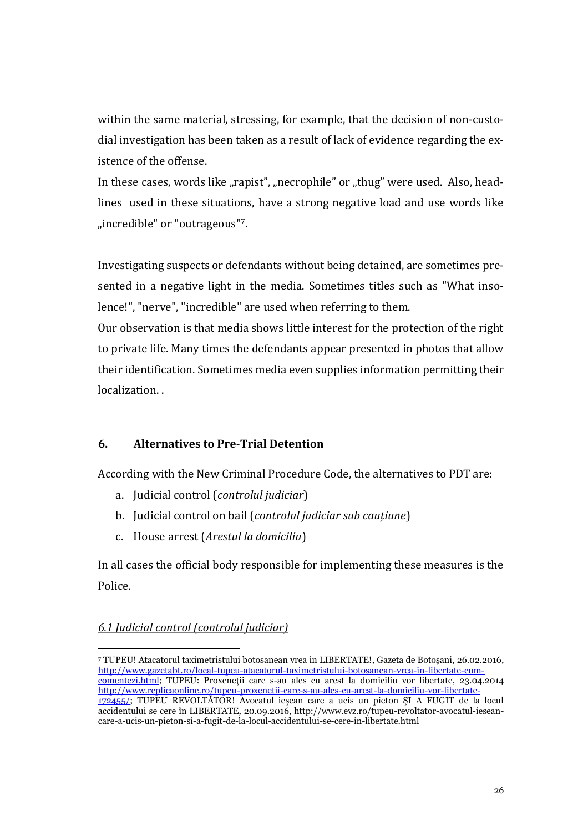within the same material, stressing, for example, that the decision of non-custodial investigation has been taken as a result of lack of evidence regarding the existence of the offense.

In these cases, words like "rapist", "necrophile" or "thug" were used. Also, headlines used in these situations, have a strong negative load and use words like "incredible" or "outrageous"7.

Investigating suspects or defendants without being detained, are sometimes presented in a negative light in the media. Sometimes titles such as "What insolence!", "nerve", "incredible" are used when referring to them.

Our observation is that media shows little interest for the protection of the right to private life. Many times the defendants appear presented in photos that allow their identification. Sometimes media even supplies information permitting their localization. .

## **6. Alternatives to Pre-Trial Detention**

According with the New Criminal Procedure Code, the alternatives to PDT are:

- a. Judicial control (*controlul judiciar*)
- b. Judicial control on bail (*controlul judiciar sub cauțiune*)
- c. House arrest (*Arestul la domiciliu*)

In all cases the official body responsible for implementing these measures is the Police.

## *6.1 Judicial control (controlul judiciar)*

j

<sup>7</sup> TUPEU! Atacatorul taximetristului botosanean vrea in LIBERTATE!, Gazeta de Botoșani, 26.02.2016, [http://www.gazetabt.ro/local-tupeu-atacatorul-taximetristului-botosanean-vrea-in-libertate-cum](http://www.gazetabt.ro/local-tupeu-atacatorul-taximetristului-botosanean-vrea-in-libertate-cum-comentezi.html)[comentezi.html;](http://www.gazetabt.ro/local-tupeu-atacatorul-taximetristului-botosanean-vrea-in-libertate-cum-comentezi.html) TUPEU: Proxeneţii care s-au ales cu arest la domiciliu vor libertate, 23.04.2014 [http://www.replicaonline.ro/tupeu-proxenetii-care-s-au-ales-cu-arest-la-domiciliu-vor-libertate-](http://www.replicaonline.ro/tupeu-proxenetii-care-s-au-ales-cu-arest-la-domiciliu-vor-libertate-172455/)[172455/;](http://www.replicaonline.ro/tupeu-proxenetii-care-s-au-ales-cu-arest-la-domiciliu-vor-libertate-172455/) TUPEU REVOLTĂTOR! Avocatul ieşean care a ucis un pieton ŞI A FUGIT de la locul accidentului se cere în LIBERTATE, 20.09.2016, http://www.evz.ro/tupeu-revoltator-avocatul-ieseancare-a-ucis-un-pieton-si-a-fugit-de-la-locul-accidentului-se-cere-in-libertate.html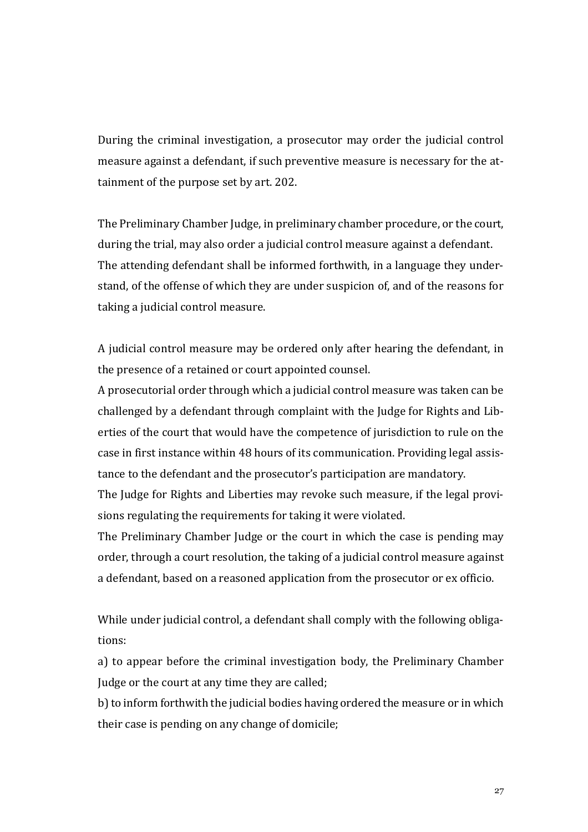During the criminal investigation, a prosecutor may order the judicial control measure against a defendant, if such preventive measure is necessary for the attainment of the purpose set by art. 202.

The Preliminary Chamber Judge, in preliminary chamber procedure, or the court, during the trial, may also order a judicial control measure against a defendant. The attending defendant shall be informed forthwith, in a language they understand, of the offense of which they are under suspicion of, and of the reasons for taking a judicial control measure.

A judicial control measure may be ordered only after hearing the defendant, in the presence of a retained or court appointed counsel.

A prosecutorial order through which a judicial control measure was taken can be challenged by a defendant through complaint with the Judge for Rights and Liberties of the court that would have the competence of jurisdiction to rule on the case in first instance within 48 hours of its communication. Providing legal assistance to the defendant and the prosecutor's participation are mandatory.

The Judge for Rights and Liberties may revoke such measure, if the legal provisions regulating the requirements for taking it were violated.

The Preliminary Chamber Judge or the court in which the case is pending may order, through a court resolution, the taking of a judicial control measure against a defendant, based on a reasoned application from the prosecutor or ex officio.

While under judicial control, a defendant shall comply with the following obligations:

a) to appear before the criminal investigation body, the Preliminary Chamber Judge or the court at any time they are called;

b) to inform forthwith the judicial bodies having ordered the measure or in which their case is pending on any change of domicile;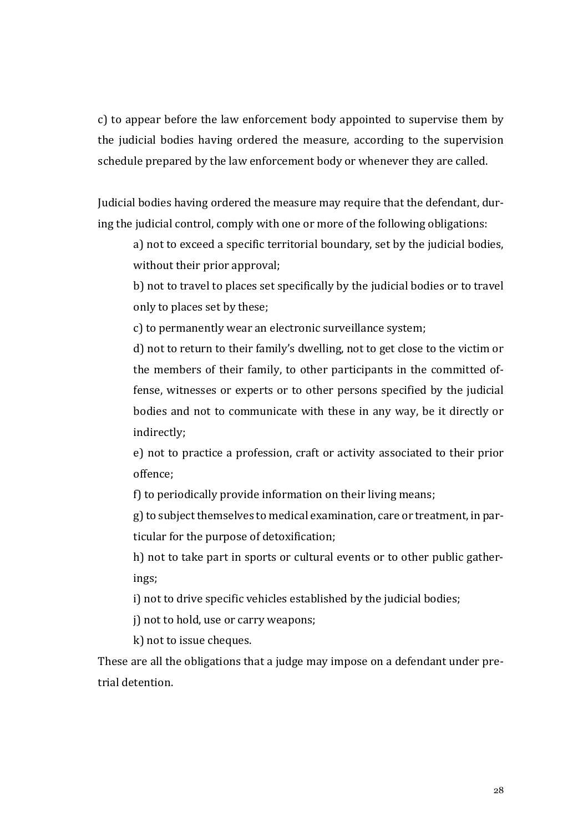c) to appear before the law enforcement body appointed to supervise them by the judicial bodies having ordered the measure, according to the supervision schedule prepared by the law enforcement body or whenever they are called.

Judicial bodies having ordered the measure may require that the defendant, during the judicial control, comply with one or more of the following obligations:

a) not to exceed a specific territorial boundary, set by the judicial bodies, without their prior approval;

b) not to travel to places set specifically by the judicial bodies or to travel only to places set by these;

c) to permanently wear an electronic surveillance system;

d) not to return to their family's dwelling, not to get close to the victim or the members of their family, to other participants in the committed offense, witnesses or experts or to other persons specified by the judicial bodies and not to communicate with these in any way, be it directly or indirectly;

e) not to practice a profession, craft or activity associated to their prior offence;

f) to periodically provide information on their living means;

g) to subject themselves to medical examination, care or treatment, in particular for the purpose of detoxification;

h) not to take part in sports or cultural events or to other public gatherings;

i) not to drive specific vehicles established by the judicial bodies;

j) not to hold, use or carry weapons;

k) not to issue cheques.

These are all the obligations that a judge may impose on a defendant under pretrial detention.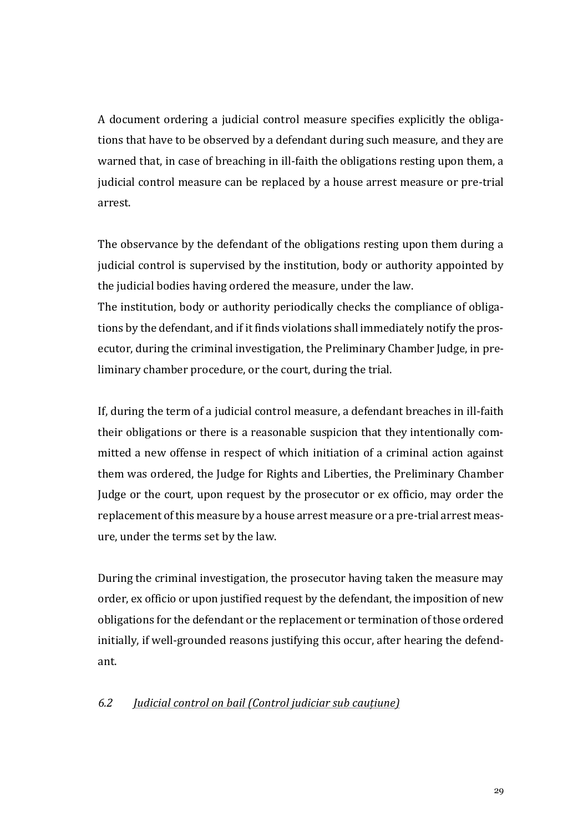A document ordering a judicial control measure specifies explicitly the obligations that have to be observed by a defendant during such measure, and they are warned that, in case of breaching in ill-faith the obligations resting upon them, a judicial control measure can be replaced by a house arrest measure or pre-trial arrest.

The observance by the defendant of the obligations resting upon them during a judicial control is supervised by the institution, body or authority appointed by the judicial bodies having ordered the measure, under the law.

The institution, body or authority periodically checks the compliance of obligations by the defendant, and if it finds violations shall immediately notify the prosecutor, during the criminal investigation, the Preliminary Chamber Judge, in preliminary chamber procedure, or the court, during the trial.

If, during the term of a judicial control measure, a defendant breaches in ill-faith their obligations or there is a reasonable suspicion that they intentionally committed a new offense in respect of which initiation of a criminal action against them was ordered, the Judge for Rights and Liberties, the Preliminary Chamber Judge or the court, upon request by the prosecutor or ex officio, may order the replacement of this measure by a house arrest measure or a pre-trial arrest measure, under the terms set by the law.

During the criminal investigation, the prosecutor having taken the measure may order, ex officio or upon justified request by the defendant, the imposition of new obligations for the defendant or the replacement or termination of those ordered initially, if well-grounded reasons justifying this occur, after hearing the defendant.

#### *6.2 Judicial control on bail (Control judiciar sub cauțiune)*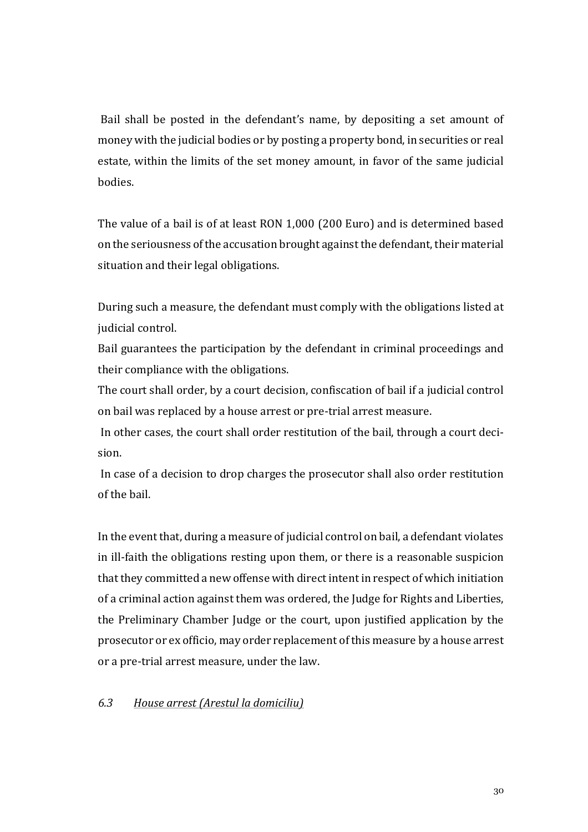Bail shall be posted in the defendant's name, by depositing a set amount of money with the judicial bodies or by posting a property bond, in securities or real estate, within the limits of the set money amount, in favor of the same judicial bodies.

The value of a bail is of at least RON 1,000 (200 Euro) and is determined based on the seriousness of the accusation brought against the defendant, their material situation and their legal obligations.

During such a measure, the defendant must comply with the obligations listed at judicial control.

Bail guarantees the participation by the defendant in criminal proceedings and their compliance with the obligations.

The court shall order, by a court decision, confiscation of bail if a judicial control on bail was replaced by a house arrest or pre-trial arrest measure.

In other cases, the court shall order restitution of the bail, through a court decision.

In case of a decision to drop charges the prosecutor shall also order restitution of the bail.

In the event that, during a measure of judicial control on bail, a defendant violates in ill-faith the obligations resting upon them, or there is a reasonable suspicion that they committed a new offense with direct intent in respect of which initiation of a criminal action against them was ordered, the Judge for Rights and Liberties, the Preliminary Chamber Judge or the court, upon justified application by the prosecutor or ex officio, may order replacement of this measure by a house arrest or a pre-trial arrest measure, under the law.

#### *6.3 House arrest (Arestul la domiciliu)*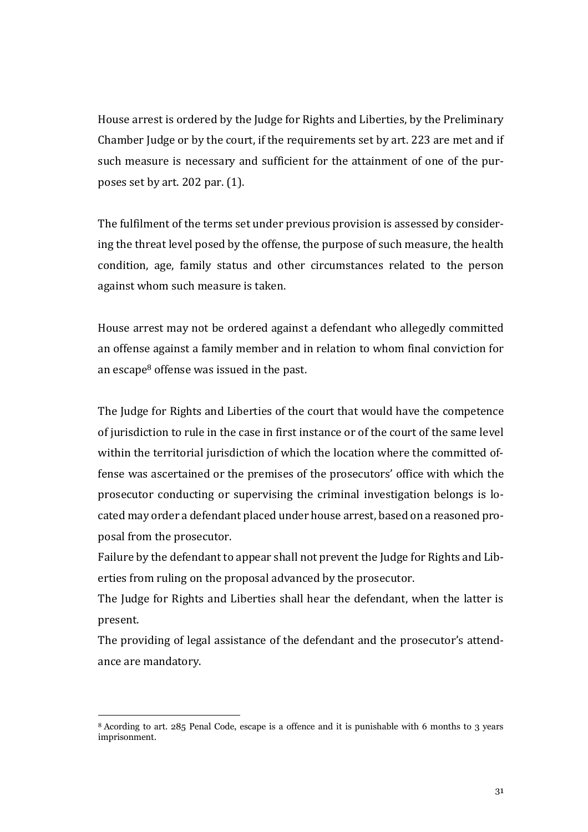House arrest is ordered by the Judge for Rights and Liberties, by the Preliminary Chamber Judge or by the court, if the requirements set by art. 223 are met and if such measure is necessary and sufficient for the attainment of one of the purposes set by art. 202 par. (1).

The fulfilment of the terms set under previous provision is assessed by considering the threat level posed by the offense, the purpose of such measure, the health condition, age, family status and other circumstances related to the person against whom such measure is taken.

House arrest may not be ordered against a defendant who allegedly committed an offense against a family member and in relation to whom final conviction for an escape<sup>8</sup> offense was issued in the past.

The Judge for Rights and Liberties of the court that would have the competence of jurisdiction to rule in the case in first instance or of the court of the same level within the territorial jurisdiction of which the location where the committed offense was ascertained or the premises of the prosecutors' office with which the prosecutor conducting or supervising the criminal investigation belongs is located may order a defendant placed under house arrest, based on a reasoned proposal from the prosecutor.

Failure by the defendant to appear shall not prevent the Judge for Rights and Liberties from ruling on the proposal advanced by the prosecutor.

The Judge for Rights and Liberties shall hear the defendant, when the latter is present.

The providing of legal assistance of the defendant and the prosecutor's attendance are mandatory.

-

<sup>8</sup> Acording to art. 285 Penal Code, escape is a offence and it is punishable with 6 months to 3 years imprisonment.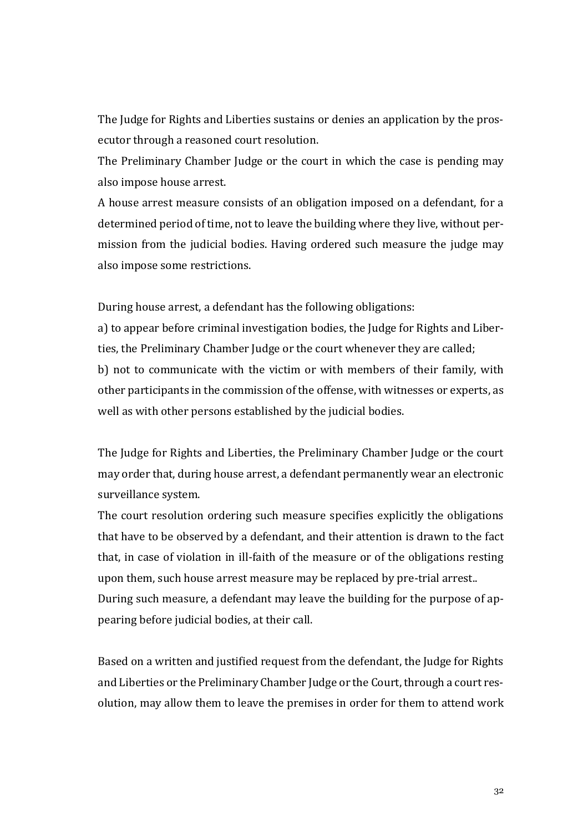The Judge for Rights and Liberties sustains or denies an application by the prosecutor through a reasoned court resolution.

The Preliminary Chamber Judge or the court in which the case is pending may also impose house arrest.

A house arrest measure consists of an obligation imposed on a defendant, for a determined period of time, not to leave the building where they live, without permission from the judicial bodies. Having ordered such measure the judge may also impose some restrictions.

During house arrest, a defendant has the following obligations:

a) to appear before criminal investigation bodies, the Judge for Rights and Liberties, the Preliminary Chamber Judge or the court whenever they are called; b) not to communicate with the victim or with members of their family, with other participants in the commission of the offense, with witnesses or experts, as well as with other persons established by the judicial bodies.

The Judge for Rights and Liberties, the Preliminary Chamber Judge or the court may order that, during house arrest, a defendant permanently wear an electronic surveillance system.

The court resolution ordering such measure specifies explicitly the obligations that have to be observed by a defendant, and their attention is drawn to the fact that, in case of violation in ill-faith of the measure or of the obligations resting upon them, such house arrest measure may be replaced by pre-trial arrest.. During such measure, a defendant may leave the building for the purpose of appearing before judicial bodies, at their call.

Based on a written and justified request from the defendant, the Judge for Rights and Liberties or the Preliminary Chamber Judge or the Court, through a court resolution, may allow them to leave the premises in order for them to attend work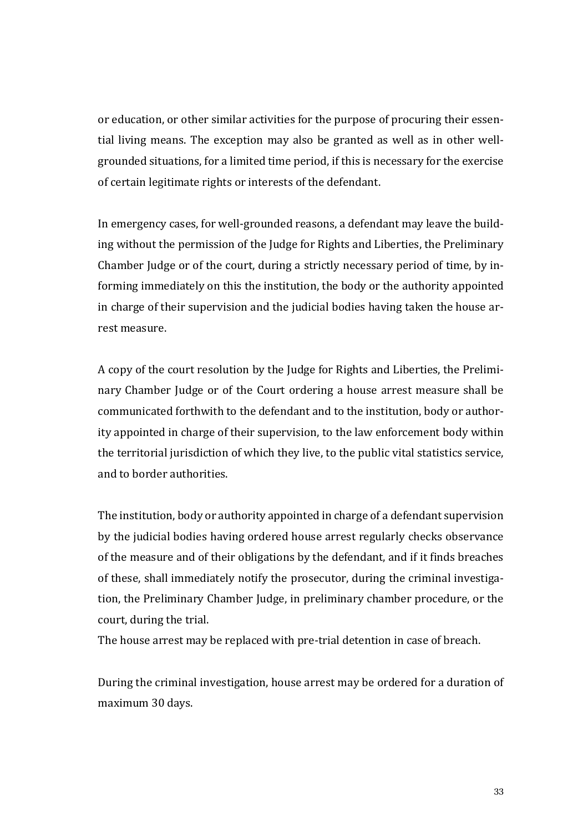or education, or other similar activities for the purpose of procuring their essential living means. The exception may also be granted as well as in other wellgrounded situations, for a limited time period, if this is necessary for the exercise of certain legitimate rights or interests of the defendant.

In emergency cases, for well-grounded reasons, a defendant may leave the building without the permission of the Judge for Rights and Liberties, the Preliminary Chamber Judge or of the court, during a strictly necessary period of time, by informing immediately on this the institution, the body or the authority appointed in charge of their supervision and the judicial bodies having taken the house arrest measure.

A copy of the court resolution by the Judge for Rights and Liberties, the Preliminary Chamber Judge or of the Court ordering a house arrest measure shall be communicated forthwith to the defendant and to the institution, body or authority appointed in charge of their supervision, to the law enforcement body within the territorial jurisdiction of which they live, to the public vital statistics service, and to border authorities.

The institution, body or authority appointed in charge of a defendant supervision by the judicial bodies having ordered house arrest regularly checks observance of the measure and of their obligations by the defendant, and if it finds breaches of these, shall immediately notify the prosecutor, during the criminal investigation, the Preliminary Chamber Judge, in preliminary chamber procedure, or the court, during the trial.

The house arrest may be replaced with pre-trial detention in case of breach.

During the criminal investigation, house arrest may be ordered for a duration of maximum 30 days.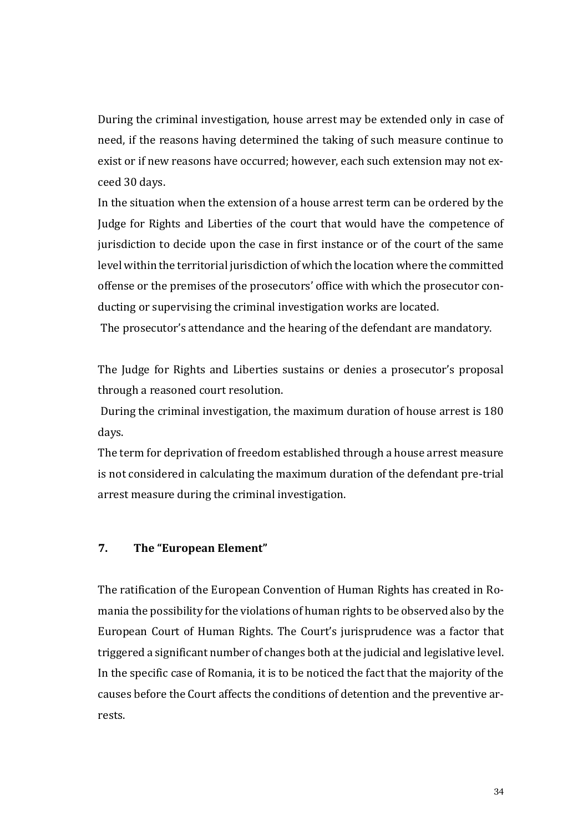During the criminal investigation, house arrest may be extended only in case of need, if the reasons having determined the taking of such measure continue to exist or if new reasons have occurred; however, each such extension may not exceed 30 days.

In the situation when the extension of a house arrest term can be ordered by the Judge for Rights and Liberties of the court that would have the competence of jurisdiction to decide upon the case in first instance or of the court of the same level within the territorial jurisdiction of which the location where the committed offense or the premises of the prosecutors' office with which the prosecutor conducting or supervising the criminal investigation works are located.

The prosecutor's attendance and the hearing of the defendant are mandatory.

The Judge for Rights and Liberties sustains or denies a prosecutor's proposal through a reasoned court resolution.

During the criminal investigation, the maximum duration of house arrest is 180 days.

The term for deprivation of freedom established through a house arrest measure is not considered in calculating the maximum duration of the defendant pre-trial arrest measure during the criminal investigation.

#### **7. The "European Element"**

The ratification of the European Convention of Human Rights has created in Romania the possibility for the violations of human rights to be observed also by the European Court of Human Rights. The Court's jurisprudence was a factor that triggered a significant number of changes both at the judicial and legislative level. In the specific case of Romania, it is to be noticed the fact that the majority of the causes before the Court affects the conditions of detention and the preventive arrests.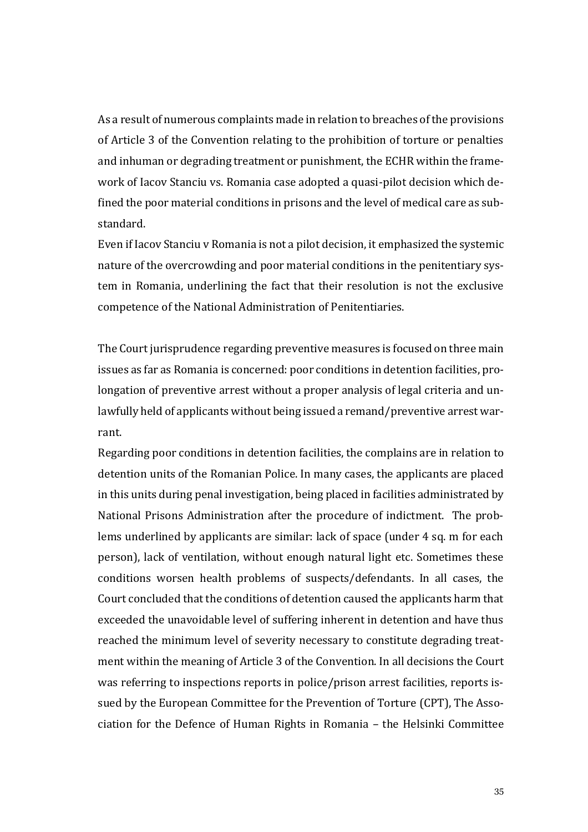As a result of numerous complaints made in relation to breaches of the provisions of Article 3 of the Convention relating to the prohibition of torture or penalties and inhuman or degrading treatment or punishment, the ECHR within the framework of Iacov Stanciu vs. Romania case adopted a quasi-pilot decision which defined the poor material conditions in prisons and the level of medical care as substandard.

Even if Iacov Stanciu v Romania is not a pilot decision, it emphasized the systemic nature of the overcrowding and poor material conditions in the penitentiary system in Romania, underlining the fact that their resolution is not the exclusive competence of the National Administration of Penitentiaries.

The Court jurisprudence regarding preventive measures is focused on three main issues as far as Romania is concerned: poor conditions in detention facilities, prolongation of preventive arrest without a proper analysis of legal criteria and unlawfully held of applicants without being issued a remand/preventive arrest warrant.

Regarding poor conditions in detention facilities, the complains are in relation to detention units of the Romanian Police. In many cases, the applicants are placed in this units during penal investigation, being placed in facilities administrated by National Prisons Administration after the procedure of indictment. The problems underlined by applicants are similar: lack of space (under 4 sq. m for each person), lack of ventilation, without enough natural light etc. Sometimes these conditions worsen health problems of suspects/defendants. In all cases, the Court concluded that the conditions of detention caused the applicants harm that exceeded the unavoidable level of suffering inherent in detention and have thus reached the minimum level of severity necessary to constitute degrading treatment within the meaning of Article 3 of the Convention. In all decisions the Court was referring to inspections reports in police/prison arrest facilities, reports issued by the European Committee for the Prevention of Torture (CPT), The Association for the Defence of Human Rights in Romania – the Helsinki Committee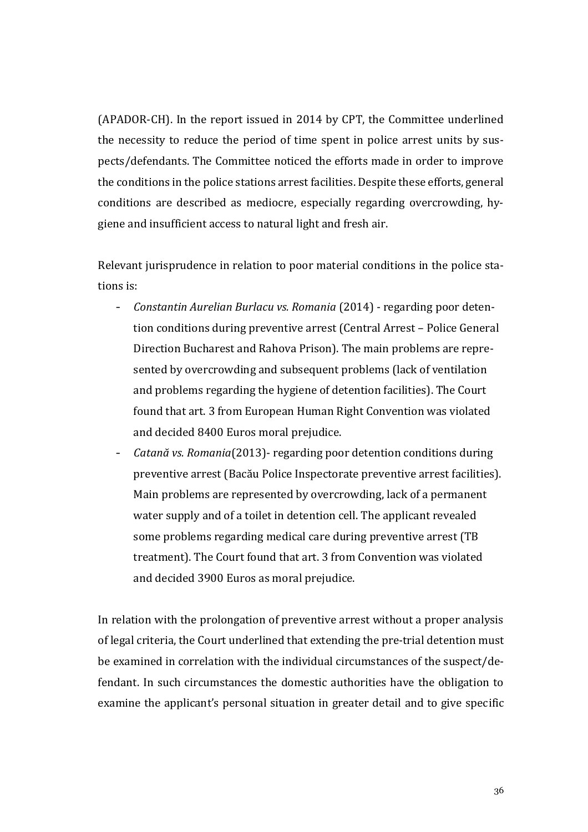(APADOR-CH). In the report issued in 2014 by CPT, the Committee underlined the necessity to reduce the period of time spent in police arrest units by suspects/defendants. The Committee noticed the efforts made in order to improve the conditions in the police stations arrest facilities. Despite these efforts, general conditions are described as mediocre, especially regarding overcrowding, hygiene and insufficient access to natural light and fresh air.

Relevant jurisprudence in relation to poor material conditions in the police stations is:

- *Constantin Aurelian Burlacu vs. Romania* (2014) regarding poor detention conditions during preventive arrest (Central Arrest – Police General Direction Bucharest and Rahova Prison). The main problems are represented by overcrowding and subsequent problems (lack of ventilation and problems regarding the hygiene of detention facilities). The Court found that art. 3 from European Human Right Convention was violated and decided 8400 Euros moral prejudice.
- *Catană vs. Romania*(2013)- regarding poor detention conditions during preventive arrest (Bacău Police Inspectorate preventive arrest facilities). Main problems are represented by overcrowding, lack of a permanent water supply and of a toilet in detention cell. The applicant revealed some problems regarding medical care during preventive arrest (TB treatment). The Court found that art. 3 from Convention was violated and decided 3900 Euros as moral prejudice.

In relation with the prolongation of preventive arrest without a proper analysis of legal criteria, the Court underlined that extending the pre-trial detention must be examined in correlation with the individual circumstances of the suspect/defendant. In such circumstances the domestic authorities have the obligation to examine the applicant's personal situation in greater detail and to give specific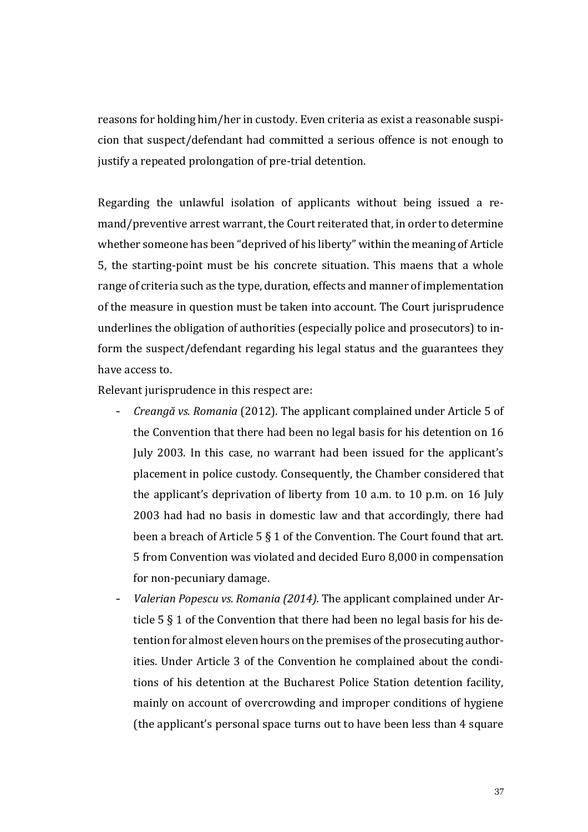reasons for holding him/her in custody. Even criteria as exist a reasonable suspicion that suspect/defendant had committed a serious offence is not enough to justify a repeated prolongation of pre-trial detention.

Regarding the unlawful isolation of applicants without being issued a remand/preventive arrest warrant, the Court reiterated that, in order to determine whether someone has been "deprived of his liberty" within the meaning of Article 5, the starting-point must be his concrete situation. This maens that a whole range of criteria such as the type, duration, effects and manner of implementation of the measure in question must be taken into account. The Court jurisprudence underlines the obligation of authorities (especially police and prosecutors) to inform the suspect/defendant regarding his legal status and the guarantees they have access to.

Relevant jurisprudence in this respect are:

- *Creangă vs. Romania* (2012). The applicant complained under Article 5 of the Convention that there had been no legal basis for his detention on 16 July 2003. In this case, no warrant had been issued for the applicant's placement in police custody. Consequently, the Chamber considered that the applicant's deprivation of liberty from 10 a.m. to 10 p.m. on 16 July 2003 had had no basis in domestic law and that accordingly, there had been a breach of Article 5 § 1 of the Convention. The Court found that art. 5 from Convention was violated and decided Euro 8,000 in compensation for non-pecuniary damage.
- *Valerian Popescu vs. Romania (2014).* The applicant complained under Article 5 § 1 of the Convention that there had been no legal basis for his detention for almost eleven hours on the premises of the prosecuting authorities. Under Article 3 of the Convention he complained about the conditions of his detention at the Bucharest Police Station detention facility, mainly on account of overcrowding and improper conditions of hygiene (the applicant's personal space turns out to have been less than 4 square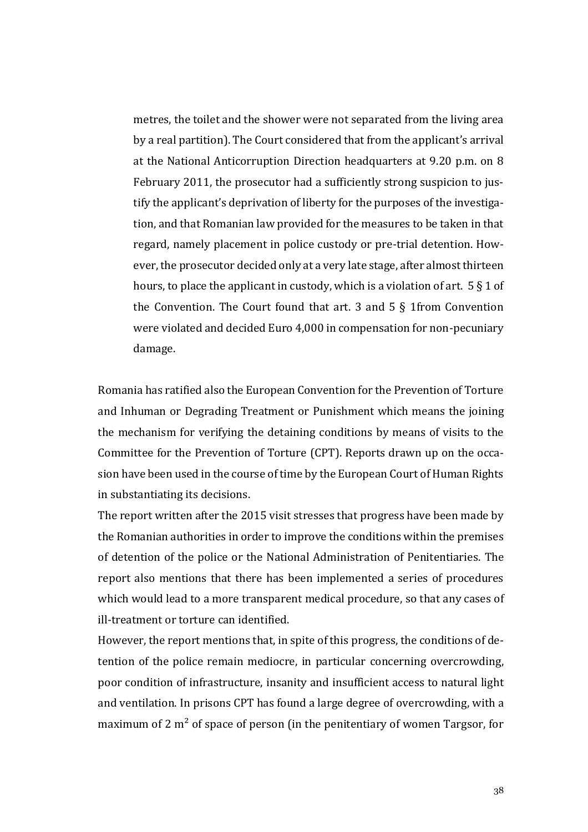metres, the toilet and the shower were not separated from the living area by a real partition). The Court considered that from the applicant's arrival at the National Anticorruption Direction headquarters at 9.20 p.m. on 8 February 2011, the prosecutor had a sufficiently strong suspicion to justify the applicant's deprivation of liberty for the purposes of the investigation, and that Romanian law provided for the measures to be taken in that regard, namely placement in police custody or pre-trial detention. However, the prosecutor decided only at a very late stage, after almost thirteen hours, to place the applicant in custody, which is a violation of art.  $5 \S 1$  of the Convention. The Court found that art. 3 and  $5 \S 1$  from Convention were violated and decided Euro 4,000 in compensation for non-pecuniary damage.

Romania has ratified also the European Convention for the Prevention of Torture and Inhuman or Degrading Treatment or Punishment which means the joining the mechanism for verifying the detaining conditions by means of visits to the Committee for the Prevention of Torture (CPT). Reports drawn up on the occasion have been used in the course of time by the European Court of Human Rights in substantiating its decisions.

The report written after the 2015 visit stresses that progress have been made by the Romanian authorities in order to improve the conditions within the premises of detention of the police or the National Administration of Penitentiaries. The report also mentions that there has been implemented a series of procedures which would lead to a more transparent medical procedure, so that any cases of ill-treatment or torture can identified.

However, the report mentions that, in spite of this progress, the conditions of detention of the police remain mediocre, in particular concerning overcrowding, poor condition of infrastructure, insanity and insufficient access to natural light and ventilation. In prisons CPT has found a large degree of overcrowding, with a maximum of 2  $m<sup>2</sup>$  of space of person (in the penitentiary of women Targsor, for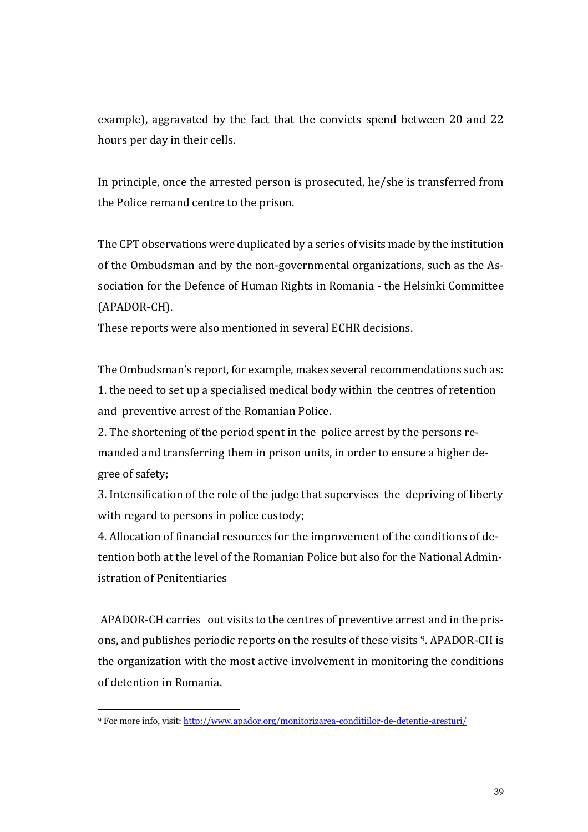example), aggravated by the fact that the convicts spend between 20 and 22 hours per day in their cells.

In principle, once the arrested person is prosecuted, he/she is transferred from the Police remand centre to the prison.

The CPT observations were duplicated by a series of visits made by the institution of the Ombudsman and by the non-governmental organizations, such as the Association for the Defence of Human Rights in Romania - the Helsinki Committee (APADOR-CH).

These reports were also mentioned in several ECHR decisions.

The Ombudsman's report, for example, makes several recommendations such as: 1. the need to set up a specialised medical body within the centres of retention and preventive arrest of the Romanian Police.

2. The shortening of the period spent in the police arrest by the persons remanded and transferring them in prison units, in order to ensure a higher degree of safety;

3. Intensification of the role of the judge that supervises the depriving of liberty with regard to persons in police custody;

4. Allocation of financial resources for the improvement of the conditions of detention both at the level of the Romanian Police but also for the National Administration of Penitentiaries

APADOR-CH carries out visits to the centres of preventive arrest and in the prisons, and publishes periodic reports on the results of these visits <sup>9</sup>. APADOR-CH is the organization with the most active involvement in monitoring the conditions of detention in Romania.

-

<sup>9</sup> For more info, visit:<http://www.apador.org/monitorizarea-conditiilor-de-detentie-aresturi/>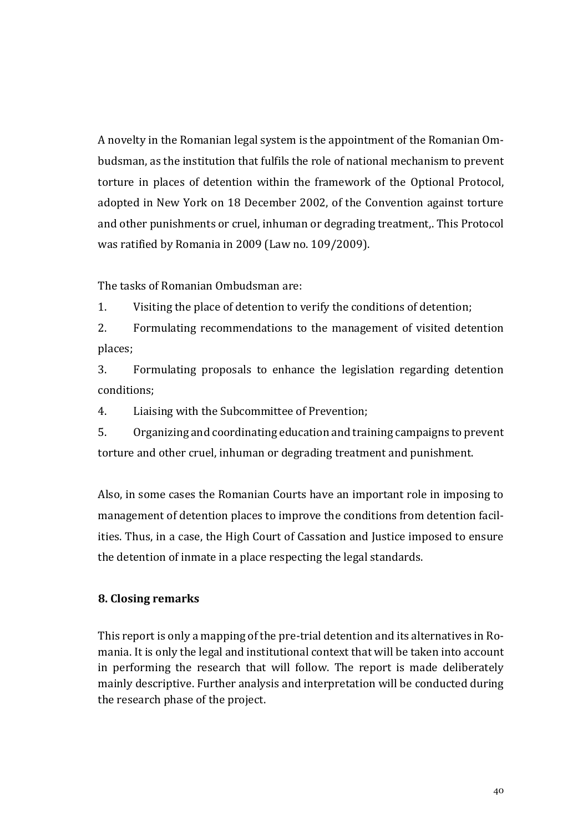A novelty in the Romanian legal system is the appointment of the Romanian Ombudsman, as the institution that fulfils the role of national mechanism to prevent torture in places of detention within the framework of the Optional Protocol, adopted in New York on 18 December 2002, of the Convention against torture and other punishments or cruel, inhuman or degrading treatment,. This Protocol was ratified by Romania in 2009 (Law no. 109/2009).

The tasks of Romanian Ombudsman are:

1. Visiting the place of detention to verify the conditions of detention;

2. Formulating recommendations to the management of visited detention places;

3. Formulating proposals to enhance the legislation regarding detention conditions;

4. Liaising with the Subcommittee of Prevention;

5. Organizing and coordinating education and training campaigns to prevent torture and other cruel, inhuman or degrading treatment and punishment.

Also, in some cases the Romanian Courts have an important role in imposing to management of detention places to improve the conditions from detention facilities. Thus, in a case, the High Court of Cassation and Justice imposed to ensure the detention of inmate in a place respecting the legal standards.

## **8. Closing remarks**

This report is only a mapping of the pre-trial detention and its alternatives in Romania. It is only the legal and institutional context that will be taken into account in performing the research that will follow. The report is made deliberately mainly descriptive. Further analysis and interpretation will be conducted during the research phase of the project.